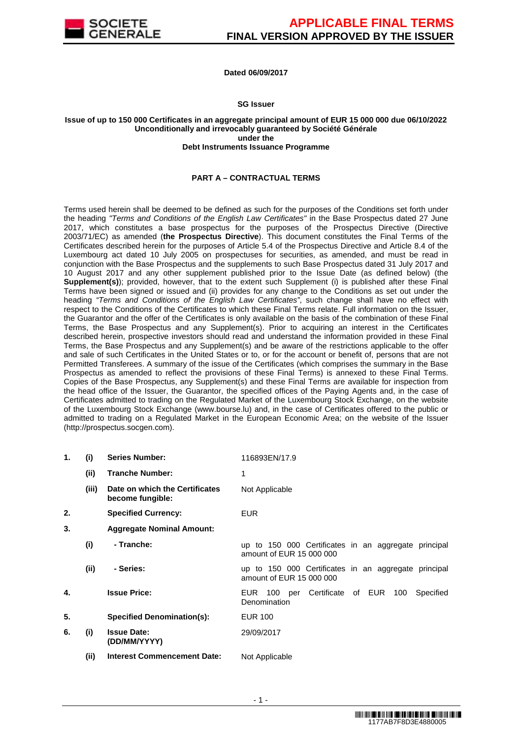

# **Dated 06/09/2017**

#### **SG Issuer**

#### **Issue of up to 150 000 Certificates in an aggregate principal amount of EUR 15 000 000 due 06/10/2022 Unconditionally and irrevocably guaranteed by Société Générale under the Debt Instruments Issuance Programme**

## **PART A – CONTRACTUAL TERMS**

Terms used herein shall be deemed to be defined as such for the purposes of the Conditions set forth under the heading "Terms and Conditions of the English Law Certificates" in the Base Prospectus dated 27 June 2017, which constitutes a base prospectus for the purposes of the Prospectus Directive (Directive 2003/71/EC) as amended (**the Prospectus Directive**). This document constitutes the Final Terms of the Certificates described herein for the purposes of Article 5.4 of the Prospectus Directive and Article 8.4 of the Luxembourg act dated 10 July 2005 on prospectuses for securities, as amended, and must be read in conjunction with the Base Prospectus and the supplements to such Base Prospectus dated 31 July 2017 and 10 August 2017 and any other supplement published prior to the Issue Date (as defined below) (the **Supplement(s)**); provided, however, that to the extent such Supplement (i) is published after these Final Terms have been signed or issued and (ii) provides for any change to the Conditions as set out under the heading "Terms and Conditions of the English Law Certificates", such change shall have no effect with respect to the Conditions of the Certificates to which these Final Terms relate. Full information on the Issuer, the Guarantor and the offer of the Certificates is only available on the basis of the combination of these Final Terms, the Base Prospectus and any Supplement(s). Prior to acquiring an interest in the Certificates described herein, prospective investors should read and understand the information provided in these Final Terms, the Base Prospectus and any Supplement(s) and be aware of the restrictions applicable to the offer and sale of such Certificates in the United States or to, or for the account or benefit of, persons that are not Permitted Transferees. A summary of the issue of the Certificates (which comprises the summary in the Base Prospectus as amended to reflect the provisions of these Final Terms) is annexed to these Final Terms. Copies of the Base Prospectus, any Supplement(s) and these Final Terms are available for inspection from the head office of the Issuer, the Guarantor, the specified offices of the Paying Agents and, in the case of Certificates admitted to trading on the Regulated Market of the Luxembourg Stock Exchange, on the website of the Luxembourg Stock Exchange (www.bourse.lu) and, in the case of Certificates offered to the public or admitted to trading on a Regulated Market in the European Economic Area; on the website of the Issuer (http://prospectus.socgen.com).

| 1. | (i)   | <b>Series Number:</b>                              | 116893EN/17.9                                                                    |
|----|-------|----------------------------------------------------|----------------------------------------------------------------------------------|
|    | (ii)  | <b>Tranche Number:</b>                             | 1                                                                                |
|    | (iii) | Date on which the Certificates<br>become fungible: | Not Applicable                                                                   |
| 2. |       | <b>Specified Currency:</b>                         | <b>EUR</b>                                                                       |
| 3. |       | <b>Aggregate Nominal Amount:</b>                   |                                                                                  |
|    | (i)   | - Tranche:                                         | up to 150 000 Certificates in an aggregate principal<br>amount of EUR 15 000 000 |
|    | (ii)  | - Series:                                          | up to 150 000 Certificates in an aggregate principal<br>amount of EUR 15 000 000 |
| 4. |       | <b>Issue Price:</b>                                | EUR 100 per Certificate of EUR<br>100<br>Specified<br>Denomination               |
| 5. |       | <b>Specified Denomination(s):</b>                  | <b>EUR 100</b>                                                                   |
| 6. | (i)   | <b>Issue Date:</b><br>(DD/MM/YYYY)                 | 29/09/2017                                                                       |
|    | (ii)  | <b>Interest Commencement Date:</b>                 | Not Applicable                                                                   |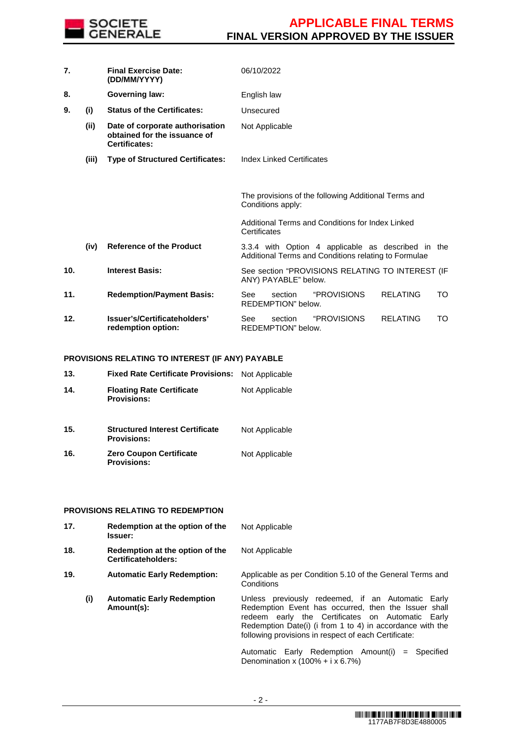

| 7.  |       | <b>Final Exercise Date:</b><br>(DD/MM/YYYY)                                             | 06/10/2022     |                               |                                                                                                            |                 |    |
|-----|-------|-----------------------------------------------------------------------------------------|----------------|-------------------------------|------------------------------------------------------------------------------------------------------------|-----------------|----|
| 8.  |       | Governing law:                                                                          | English law    |                               |                                                                                                            |                 |    |
| 9.  | (i)   | <b>Status of the Certificates:</b>                                                      | Unsecured      |                               |                                                                                                            |                 |    |
|     | (ii)  | Date of corporate authorisation<br>obtained for the issuance of<br><b>Certificates:</b> | Not Applicable |                               |                                                                                                            |                 |    |
|     | (iii) | <b>Type of Structured Certificates:</b>                                                 |                | Index Linked Certificates     |                                                                                                            |                 |    |
|     |       |                                                                                         |                |                               |                                                                                                            |                 |    |
|     |       |                                                                                         |                | Conditions apply:             | The provisions of the following Additional Terms and                                                       |                 |    |
|     |       |                                                                                         | Certificates   |                               | Additional Terms and Conditions for Index Linked                                                           |                 |    |
|     | (iv)  | <b>Reference of the Product</b>                                                         |                |                               | 3.3.4 with Option 4 applicable as described in the<br>Additional Terms and Conditions relating to Formulae |                 |    |
| 10. |       | <b>Interest Basis:</b>                                                                  |                | ANY) PAYABLE" below.          | See section "PROVISIONS RELATING TO INTEREST (IF                                                           |                 |    |
| 11. |       | <b>Redemption/Payment Basis:</b>                                                        | See            | section<br>REDEMPTION" below. | "PROVISIONS                                                                                                | <b>RELATING</b> | TO |
| 12. |       | Issuer's/Certificateholders'<br>redemption option:                                      | See            | section<br>REDEMPTION" below. | "PROVISIONS                                                                                                | <b>RELATING</b> | TO |

# **PROVISIONS RELATING TO INTEREST (IF ANY) PAYABLE**

| 13. | <b>Fixed Rate Certificate Provisions:</b>                    | Not Applicable |
|-----|--------------------------------------------------------------|----------------|
| 14. | <b>Floating Rate Certificate</b><br><b>Provisions:</b>       | Not Applicable |
| 15. | <b>Structured Interest Certificate</b><br><b>Provisions:</b> | Not Applicable |
| 16. | <b>Zero Coupon Certificate</b><br><b>Provisions:</b>         | Not Applicable |

# **PROVISIONS RELATING TO REDEMPTION**

| 17. | Redemption at the option of the<br><b>Issuer:</b>             | Not Applicable                                                                                                                                                                                                                                                                                                                                                                           |
|-----|---------------------------------------------------------------|------------------------------------------------------------------------------------------------------------------------------------------------------------------------------------------------------------------------------------------------------------------------------------------------------------------------------------------------------------------------------------------|
| 18. | Redemption at the option of the<br><b>Certificateholders:</b> | Not Applicable                                                                                                                                                                                                                                                                                                                                                                           |
| 19. | <b>Automatic Early Redemption:</b>                            | Applicable as per Condition 5.10 of the General Terms and<br>Conditions                                                                                                                                                                                                                                                                                                                  |
| (i) | <b>Automatic Early Redemption</b><br>Amount(s):               | Unless previously redeemed, if an Automatic Early<br>Redemption Event has occurred, then the Issuer shall<br>redeem early the Certificates on Automatic Early<br>Redemption Date(i) (i from 1 to 4) in accordance with the<br>following provisions in respect of each Certificate:<br>Automatic Early Redemption Amount(i)<br>$=$ Specified<br>Denomination x $(100\% + i \times 6.7\%)$ |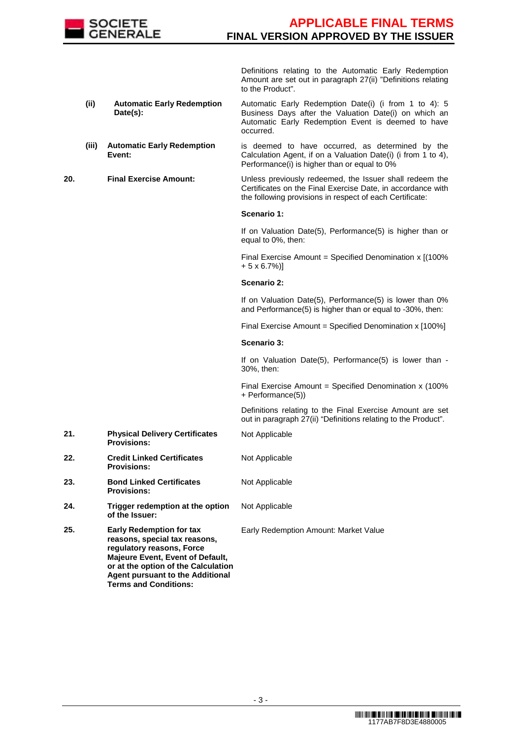

 Definitions relating to the Automatic Early Redemption Amount are set out in paragraph 27(ii) "Definitions relating to the Product".

- **(ii) Automatic Early Redemption Date(s):**  Automatic Early Redemption Date(i) (i from 1 to 4): 5 Business Days after the Valuation Date(i) on which an Automatic Early Redemption Event is deemed to have occurred.
- **(iii) Automatic Early Redemption Event:** is deemed to have occurred, as determined by the Calculation Agent, if on a Valuation Date(i) (i from 1 to 4), Performance(i) is higher than or equal to 0%

**20. Final Exercise Amount:** Unless previously redeemed, the Issuer shall redeem the Certificates on the Final Exercise Date, in accordance with the following provisions in respect of each Certificate:

#### **Scenario 1:**

If on Valuation Date(5), Performance(5) is higher than or equal to 0%, then:

Final Exercise Amount = Specified Denomination x I(100%) + 5 x 6.7%)]

#### **Scenario 2:**

If on Valuation Date(5), Performance(5) is lower than 0% and Performance(5) is higher than or equal to -30%, then:

Final Exercise Amount = Specified Denomination x [100%]

# **Scenario 3:**

If on Valuation Date(5), Performance(5) is lower than - 30%, then:

Final Exercise Amount = Specified Denomination  $x$  (100%) + Performance(5))

 Definitions relating to the Final Exercise Amount are set out in paragraph 27(ii) "Definitions relating to the Product".

- Not Applicable
- **Provisions: 22. Credit Linked Certificates**  Not Applicable

**21. Physical Delivery Certificates** 

**Provisions:**

- **23. Bond Linked Certificates Provisions:** Not Applicable
- **24. Trigger redemption at the option of the Issuer:** Not Applicable

Early Redemption Amount: Market Value

**25. Early Redemption for tax reasons, special tax reasons, regulatory reasons, Force Majeure Event, Event of Default, or at the option of the Calculation Agent pursuant to the Additional Terms and Conditions:**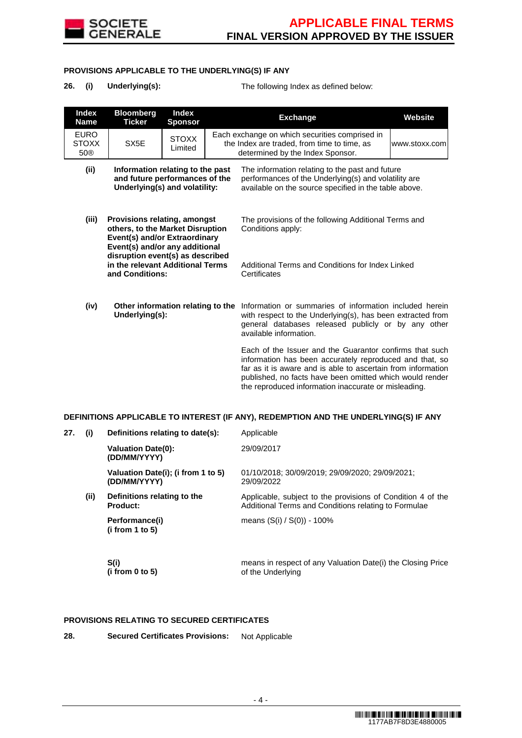

## **PROVISIONS APPLICABLE TO THE UNDERLYING(S) IF ANY**

| 26. | (i) | <b>Underlying(s</b> |  |
|-----|-----|---------------------|--|
|-----|-----|---------------------|--|

**26.** The following Index as defined below:

|     | <b>Index</b><br><b>Name</b>        | <b>Bloomberg</b><br><b>Ticker</b>                                                                                                          | <b>Index</b><br><b>Sponsor</b>                                       |  | <b>Exchange</b>                                                                                                                                                                                                                                                                                        | Website |
|-----|------------------------------------|--------------------------------------------------------------------------------------------------------------------------------------------|----------------------------------------------------------------------|--|--------------------------------------------------------------------------------------------------------------------------------------------------------------------------------------------------------------------------------------------------------------------------------------------------------|---------|
|     | <b>EURO</b><br><b>STOXX</b><br>50® | SX <sub>5</sub> E                                                                                                                          | <b>STOXX</b><br>Limited                                              |  | Each exchange on which securities comprised in<br>the Index are traded, from time to time, as<br>www.stoxx.com<br>determined by the Index Sponsor.                                                                                                                                                     |         |
|     | (ii)                               | Information relating to the past<br>and future performances of the<br>Underlying(s) and volatility:                                        |                                                                      |  | The information relating to the past and future<br>performances of the Underlying(s) and volatility are<br>available on the source specified in the table above.                                                                                                                                       |         |
|     | (iii)                              | <b>Provisions relating, amongst</b><br>others, to the Market Disruption<br>Event(s) and/or Extraordinary<br>Event(s) and/or any additional |                                                                      |  | The provisions of the following Additional Terms and<br>Conditions apply:                                                                                                                                                                                                                              |         |
|     |                                    | and Conditions:                                                                                                                            | disruption event(s) as described<br>in the relevant Additional Terms |  | Additional Terms and Conditions for Index Linked<br>Certificates                                                                                                                                                                                                                                       |         |
|     | (iv)                               | Other information relating to the<br>Underlying(s):                                                                                        |                                                                      |  | Information or summaries of information included herein<br>with respect to the Underlying(s), has been extracted from<br>general databases released publicly or by any other<br>available information.                                                                                                 |         |
|     |                                    |                                                                                                                                            |                                                                      |  | Each of the Issuer and the Guarantor confirms that such<br>information has been accurately reproduced and that, so<br>far as it is aware and is able to ascertain from information<br>published, no facts have been omitted which would render<br>the reproduced information inaccurate or misleading. |         |
|     |                                    |                                                                                                                                            |                                                                      |  | DEFINITIONS APPLICABLE TO INTEREST (IF ANY), REDEMPTION AND THE UNDERLYING(S) IF ANY                                                                                                                                                                                                                   |         |
| 27. | (i)                                | Definitions relating to date(s):                                                                                                           |                                                                      |  | Applicable                                                                                                                                                                                                                                                                                             |         |
|     |                                    | <b>Valuation Date(0):</b>                                                                                                                  |                                                                      |  | 29/09/2017                                                                                                                                                                                                                                                                                             |         |

**(DD/MM/YYYY) Valuation Date(i); (i from 1 to 5) (DD/MM/YYYY)** 01/10/2018; 30/09/2019; 29/09/2020; 29/09/2021; 29/09/2022

**(ii) Definitions relating to the Product:**

> **Performance(i) (i from 1 to 5)**

 **S(i) (i from 0 to 5)** 

means in respect of any Valuation Date(i) the Closing Price of the Underlying

Applicable, subject to the provisions of Condition 4 of the Additional Terms and Conditions relating to Formulae

### **PROVISIONS RELATING TO SECURED CERTIFICATES**

| 28. | <b>Secured Certificates Provisions:</b> | Not Applicable |
|-----|-----------------------------------------|----------------|
|-----|-----------------------------------------|----------------|

means (S(i) / S(0)) - 100%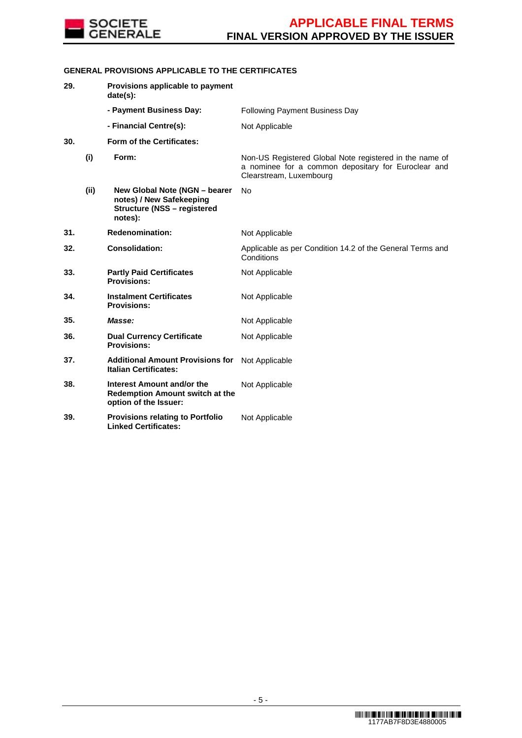

# **GENERAL PROVISIONS APPLICABLE TO THE CERTIFICATES**

| 29. |      | Provisions applicable to payment<br>date(s):                                                               |                                                                                                                                           |
|-----|------|------------------------------------------------------------------------------------------------------------|-------------------------------------------------------------------------------------------------------------------------------------------|
|     |      | - Payment Business Day:                                                                                    | <b>Following Payment Business Day</b>                                                                                                     |
|     |      | - Financial Centre(s):                                                                                     | Not Applicable                                                                                                                            |
| 30. |      | <b>Form of the Certificates:</b>                                                                           |                                                                                                                                           |
|     | (i)  | Form:                                                                                                      | Non-US Registered Global Note registered in the name of<br>a nominee for a common depositary for Euroclear and<br>Clearstream, Luxembourg |
|     | (ii) | New Global Note (NGN - bearer<br>notes) / New Safekeeping<br><b>Structure (NSS - registered</b><br>notes): | No                                                                                                                                        |
| 31. |      | <b>Redenomination:</b>                                                                                     | Not Applicable                                                                                                                            |
| 32. |      | <b>Consolidation:</b>                                                                                      | Applicable as per Condition 14.2 of the General Terms and<br>Conditions                                                                   |
| 33. |      | <b>Partly Paid Certificates</b><br><b>Provisions:</b>                                                      | Not Applicable                                                                                                                            |
| 34. |      | <b>Instalment Certificates</b><br><b>Provisions:</b>                                                       | Not Applicable                                                                                                                            |
| 35. |      | Masse:                                                                                                     | Not Applicable                                                                                                                            |
| 36. |      | <b>Dual Currency Certificate</b><br><b>Provisions:</b>                                                     | Not Applicable                                                                                                                            |
| 37. |      | <b>Additional Amount Provisions for</b><br><b>Italian Certificates:</b>                                    | Not Applicable                                                                                                                            |
| 38. |      | Interest Amount and/or the<br><b>Redemption Amount switch at the</b><br>option of the Issuer:              | Not Applicable                                                                                                                            |
| 39. |      | <b>Provisions relating to Portfolio</b><br><b>Linked Certificates:</b>                                     | Not Applicable                                                                                                                            |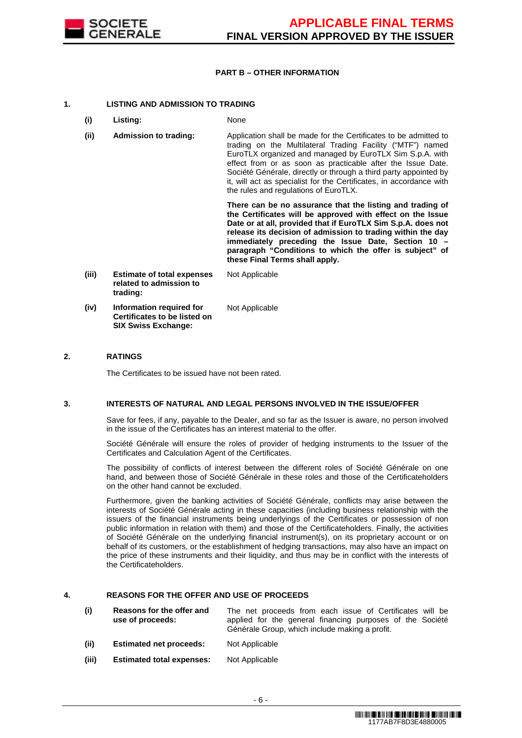

### **PART B – OTHER INFORMATION**

## **1. LISTING AND ADMISSION TO TRADING**

- **(i) Listing:** None
- **(ii) Admission to trading:** Application shall be made for the Certificates to be admitted to trading on the Multilateral Trading Facility ("MTF") named EuroTLX organized and managed by EuroTLX Sim S.p.A. with effect from or as soon as practicable after the Issue Date. Société Générale, directly or through a third party appointed by it, will act as specialist for the Certificates, in accordance with the rules and regulations of EuroTLX.

 **There can be no assurance that the listing and trading of the Certificates will be approved with effect on the Issue Date or at all, provided that if EuroTLX Sim S.p.A. does not release its decision of admission to trading within the day immediately preceding the Issue Date, Section 10 – paragraph "Conditions to which the offer is subject" of these Final Terms shall apply.**

**(iii) Estimate of total expenses related to admission to trading:** Not Applicable **(iv) Information required for Certificates to be listed on SIX Swiss Exchange:** Not Applicable

#### **2. RATINGS**

The Certificates to be issued have not been rated.

#### **3. INTERESTS OF NATURAL AND LEGAL PERSONS INVOLVED IN THE ISSUE/OFFER**

 Save for fees, if any, payable to the Dealer, and so far as the Issuer is aware, no person involved in the issue of the Certificates has an interest material to the offer.

 Société Générale will ensure the roles of provider of hedging instruments to the Issuer of the Certificates and Calculation Agent of the Certificates.

 The possibility of conflicts of interest between the different roles of Société Générale on one hand, and between those of Société Générale in these roles and those of the Certificateholders on the other hand cannot be excluded.

 Furthermore, given the banking activities of Société Générale, conflicts may arise between the interests of Société Générale acting in these capacities (including business relationship with the issuers of the financial instruments being underlyings of the Certificates or possession of non public information in relation with them) and those of the Certificateholders. Finally, the activities of Société Générale on the underlying financial instrument(s), on its proprietary account or on behalf of its customers, or the establishment of hedging transactions, may also have an impact on the price of these instruments and their liquidity, and thus may be in conflict with the interests of the Certificateholders.

#### **4. REASONS FOR THE OFFER AND USE OF PROCEEDS**

- **(i) Reasons for the offer and use of proceeds:** The net proceeds from each issue of Certificates will be applied for the general financing purposes of the Société Générale Group, which include making a profit.
- **(ii) Estimated net proceeds:** Not Applicable
- **(iii) Estimated total expenses:** Not Applicable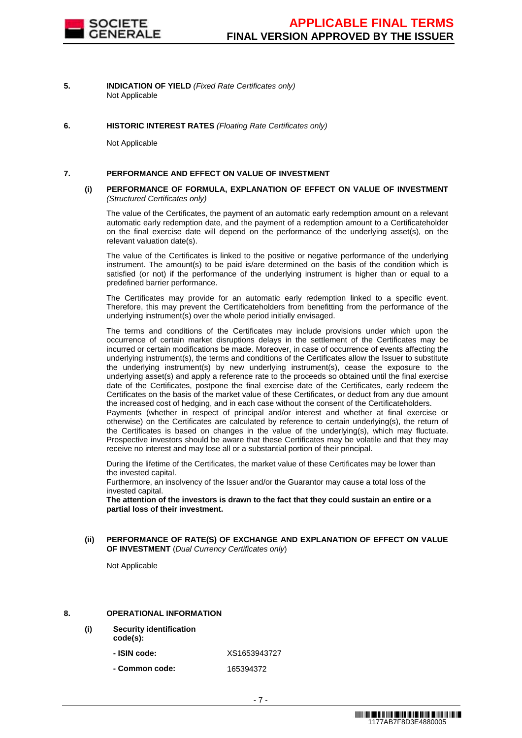

- **5. INDICATION OF YIELD** (Fixed Rate Certificates only) Not Applicable
- **6. HISTORIC INTEREST RATES** (Floating Rate Certificates only)

Not Applicable

#### **7. PERFORMANCE AND EFFECT ON VALUE OF INVESTMENT**

#### **(i) PERFORMANCE OF FORMULA, EXPLANATION OF EFFECT ON VALUE OF INVESTMENT**  (Structured Certificates only)

 The value of the Certificates, the payment of an automatic early redemption amount on a relevant automatic early redemption date, and the payment of a redemption amount to a Certificateholder on the final exercise date will depend on the performance of the underlying asset(s), on the relevant valuation date(s).

 The value of the Certificates is linked to the positive or negative performance of the underlying instrument. The amount(s) to be paid is/are determined on the basis of the condition which is satisfied (or not) if the performance of the underlying instrument is higher than or equal to a predefined barrier performance.

 The Certificates may provide for an automatic early redemption linked to a specific event. Therefore, this may prevent the Certificateholders from benefitting from the performance of the underlying instrument(s) over the whole period initially envisaged.

 The terms and conditions of the Certificates may include provisions under which upon the occurrence of certain market disruptions delays in the settlement of the Certificates may be incurred or certain modifications be made. Moreover, in case of occurrence of events affecting the underlying instrument(s), the terms and conditions of the Certificates allow the Issuer to substitute the underlying instrument(s) by new underlying instrument(s), cease the exposure to the underlying asset(s) and apply a reference rate to the proceeds so obtained until the final exercise date of the Certificates, postpone the final exercise date of the Certificates, early redeem the Certificates on the basis of the market value of these Certificates, or deduct from any due amount the increased cost of hedging, and in each case without the consent of the Certificateholders. Payments (whether in respect of principal and/or interest and whether at final exercise or otherwise) on the Certificates are calculated by reference to certain underlying(s), the return of the Certificates is based on changes in the value of the underlying(s), which may fluctuate. Prospective investors should be aware that these Certificates may be volatile and that they may

 During the lifetime of the Certificates, the market value of these Certificates may be lower than the invested capital.

Furthermore, an insolvency of the Issuer and/or the Guarantor may cause a total loss of the invested capital.

receive no interest and may lose all or a substantial portion of their principal.

**The attention of the investors is drawn to the fact that they could sustain an entire or a partial loss of their investment.**

**(ii) PERFORMANCE OF RATE(S) OF EXCHANGE AND EXPLANATION OF EFFECT ON VALUE OF INVESTMENT** (Dual Currency Certificates only)

Not Applicable

#### **8. OPERATIONAL INFORMATION**

- **(i) Security identification** 
	- **code(s):**
		- **- ISIN code:** XS1653943727
		- **- Common code:** 165394372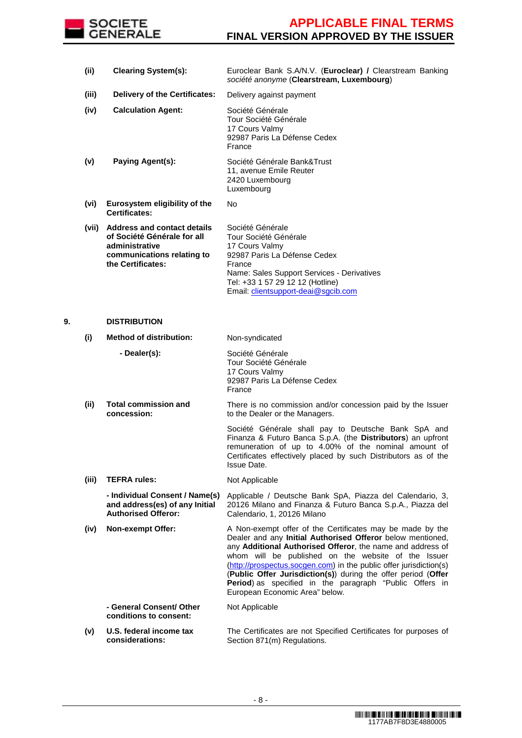

| (ii)  | <b>Clearing System(s):</b>                                                                                                      | Euroclear Bank S.A/N.V. (Euroclear) / Clearstream Banking<br>société anonyme (Clearstream, Luxembourg)                                                                                                                         |
|-------|---------------------------------------------------------------------------------------------------------------------------------|--------------------------------------------------------------------------------------------------------------------------------------------------------------------------------------------------------------------------------|
| (iii) | <b>Delivery of the Certificates:</b>                                                                                            | Delivery against payment                                                                                                                                                                                                       |
| (iv)  | <b>Calculation Agent:</b>                                                                                                       | Société Générale<br>Tour Société Générale<br>17 Cours Valmy<br>92987 Paris La Défense Cedex<br>France                                                                                                                          |
| (v)   | Paying Agent(s):                                                                                                                | Société Générale Bank&Trust<br>11, avenue Emile Reuter<br>2420 Luxembourg<br>Luxembourg                                                                                                                                        |
| (vi)  | Eurosystem eligibility of the<br><b>Certificates:</b>                                                                           | No.                                                                                                                                                                                                                            |
| (vii) | Address and contact details<br>of Société Générale for all<br>administrative<br>communications relating to<br>the Certificates: | Société Générale<br>Tour Société Générale<br>17 Cours Valmy<br>92987 Paris La Défense Cedex<br>France<br>Name: Sales Support Services - Derivatives<br>Tel: +33 1 57 29 12 12 (Hotline)<br>Email: clientsupport-deai@sgcib.com |

#### **9. DISTRIBUTION**

- **(i) Method of distribution:** Non-syndicated **- Dealer(s):** Société Générale Tour Société Générale 17 Cours Valmy 92987 Paris La Défense Cedex France
- **(ii) Total commission and concession:** There is no commission and/or concession paid by the Issuer to the Dealer or the Managers.

 Société Générale shall pay to Deutsche Bank SpA and Finanza & Futuro Banca S.p.A. (the **Distributors**) an upfront remuneration of up to 4.00% of the nominal amount of Certificates effectively placed by such Distributors as of the Issue Date.

**(iii) TEFRA rules:** Not Applicable

 **- Individual Consent / Name(s) and address(es) of any Initial Authorised Offeror:** Applicable / Deutsche Bank SpA, Piazza del Calendario, 3, 20126 Milano and Finanza & Futuro Banca S.p.A., Piazza del Calendario, 1, 20126 Milano

**(iv) Non-exempt Offer:** A Non-exempt offer of the Certificates may be made by the Dealer and any **Initial Authorised Offeror** below mentioned, any **Additional Authorised Offeror**, the name and address of whom will be published on the website of the Issuer (http://prospectus.socgen.com) in the public offer jurisdiction(s) (**Public Offer Jurisdiction(s)**) during the offer period (**Offer Period**) as specified in the paragraph "Public Offers in European Economic Area" below. Not Applicable

 **- General Consent/ Other conditions to consent:**

**(v) U.S. federal income tax considerations:** The Certificates are not Specified Certificates for purposes of Section 871(m) Regulations.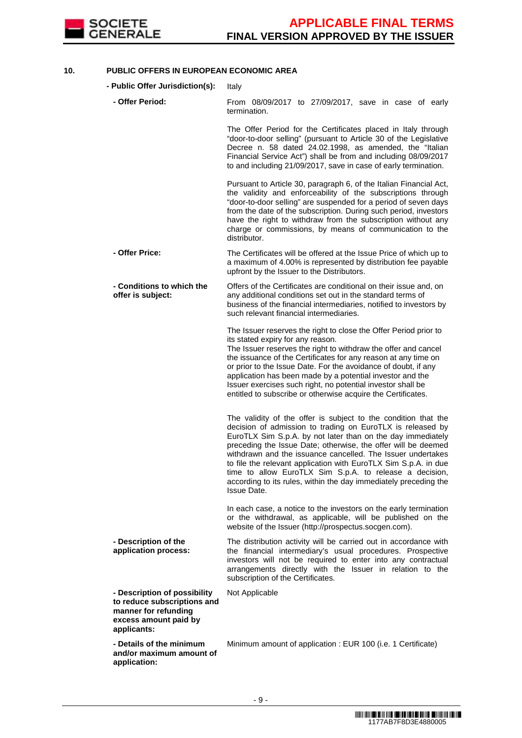

## **10. PUBLIC OFFERS IN EUROPEAN ECONOMIC AREA**

**- Public Offer Jurisdiction(s):** Italy

| - Offer Period:                                                                                                             | From 08/09/2017 to 27/09/2017, save in case of early<br>termination.                                                                                                                                                                                                                                                                                                                                                                                                                                                                                |
|-----------------------------------------------------------------------------------------------------------------------------|-----------------------------------------------------------------------------------------------------------------------------------------------------------------------------------------------------------------------------------------------------------------------------------------------------------------------------------------------------------------------------------------------------------------------------------------------------------------------------------------------------------------------------------------------------|
|                                                                                                                             | The Offer Period for the Certificates placed in Italy through<br>"door-to-door selling" (pursuant to Article 30 of the Legislative<br>Decree n. 58 dated 24.02.1998, as amended, the "Italian<br>Financial Service Act") shall be from and including 08/09/2017<br>to and including 21/09/2017, save in case of early termination.                                                                                                                                                                                                                  |
|                                                                                                                             | Pursuant to Article 30, paragraph 6, of the Italian Financial Act,<br>the validity and enforceability of the subscriptions through<br>"door-to-door selling" are suspended for a period of seven days<br>from the date of the subscription. During such period, investors<br>have the right to withdraw from the subscription without any<br>charge or commissions, by means of communication to the<br>distributor.                                                                                                                                |
| - Offer Price:                                                                                                              | The Certificates will be offered at the Issue Price of which up to<br>a maximum of 4.00% is represented by distribution fee payable<br>upfront by the Issuer to the Distributors.                                                                                                                                                                                                                                                                                                                                                                   |
| - Conditions to which the<br>offer is subject:                                                                              | Offers of the Certificates are conditional on their issue and, on<br>any additional conditions set out in the standard terms of<br>business of the financial intermediaries, notified to investors by<br>such relevant financial intermediaries.                                                                                                                                                                                                                                                                                                    |
|                                                                                                                             | The Issuer reserves the right to close the Offer Period prior to<br>its stated expiry for any reason.<br>The Issuer reserves the right to withdraw the offer and cancel<br>the issuance of the Certificates for any reason at any time on<br>or prior to the Issue Date. For the avoidance of doubt, if any<br>application has been made by a potential investor and the<br>Issuer exercises such right, no potential investor shall be<br>entitled to subscribe or otherwise acquire the Certificates.                                             |
|                                                                                                                             | The validity of the offer is subject to the condition that the<br>decision of admission to trading on EuroTLX is released by<br>EuroTLX Sim S.p.A. by not later than on the day immediately<br>preceding the Issue Date; otherwise, the offer will be deemed<br>withdrawn and the issuance cancelled. The Issuer undertakes<br>to file the relevant application with EuroTLX Sim S.p.A. in due<br>time to allow EuroTLX Sim S.p.A. to release a decision,<br>according to its rules, within the day immediately preceding the<br><b>Issue Date.</b> |
|                                                                                                                             | In each case, a notice to the investors on the early termination<br>or the withdrawal, as applicable, will be published on the<br>website of the Issuer (http://prospectus.socgen.com).                                                                                                                                                                                                                                                                                                                                                             |
| - Description of the<br>application process:                                                                                | The distribution activity will be carried out in accordance with<br>the financial intermediary's usual procedures. Prospective<br>investors will not be required to enter into any contractual<br>arrangements directly with the Issuer in relation to the<br>subscription of the Certificates.                                                                                                                                                                                                                                                     |
| - Description of possibility<br>to reduce subscriptions and<br>manner for refunding<br>excess amount paid by<br>applicants: | Not Applicable                                                                                                                                                                                                                                                                                                                                                                                                                                                                                                                                      |
| - Details of the minimum<br>and/or maximum amount of<br>application:                                                        | Minimum amount of application : EUR 100 (i.e. 1 Certificate)                                                                                                                                                                                                                                                                                                                                                                                                                                                                                        |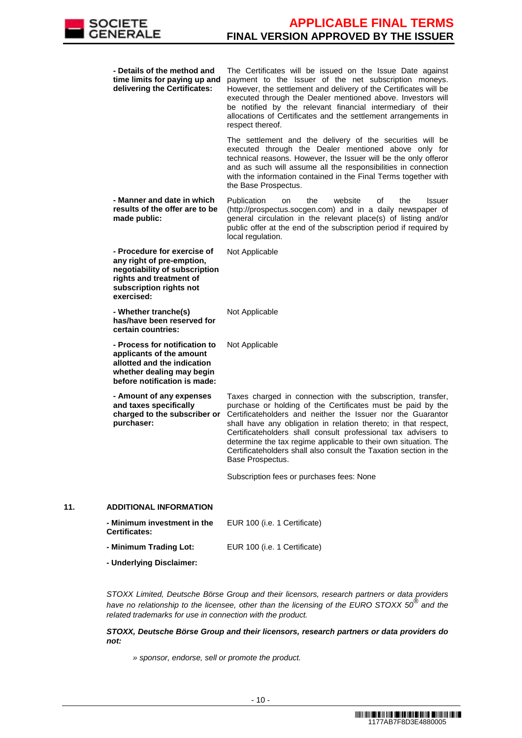

|     | - Details of the method and<br>time limits for paying up and<br>delivering the Certificates:                                                                  | The Certificates will be issued on the Issue Date against<br>payment to the Issuer of the net subscription moneys.<br>However, the settlement and delivery of the Certificates will be<br>executed through the Dealer mentioned above. Investors will<br>be notified by the relevant financial intermediary of their<br>allocations of Certificates and the settlement arrangements in<br>respect thereof.                                                                                 |
|-----|---------------------------------------------------------------------------------------------------------------------------------------------------------------|--------------------------------------------------------------------------------------------------------------------------------------------------------------------------------------------------------------------------------------------------------------------------------------------------------------------------------------------------------------------------------------------------------------------------------------------------------------------------------------------|
|     |                                                                                                                                                               | The settlement and the delivery of the securities will be<br>executed through the Dealer mentioned above only for<br>technical reasons. However, the Issuer will be the only offeror<br>and as such will assume all the responsibilities in connection<br>with the information contained in the Final Terms together with<br>the Base Prospectus.                                                                                                                                          |
|     | - Manner and date in which<br>results of the offer are to be<br>made public:                                                                                  | Publication<br>the<br>website<br>the<br>οf<br><b>Issuer</b><br>on<br>(http://prospectus.socgen.com) and in a daily newspaper of<br>general circulation in the relevant place(s) of listing and/or<br>public offer at the end of the subscription period if required by<br>local regulation.                                                                                                                                                                                                |
|     | - Procedure for exercise of<br>any right of pre-emption,<br>negotiability of subscription<br>rights and treatment of<br>subscription rights not<br>exercised: | Not Applicable                                                                                                                                                                                                                                                                                                                                                                                                                                                                             |
|     | - Whether tranche(s)<br>has/have been reserved for<br>certain countries:                                                                                      | Not Applicable                                                                                                                                                                                                                                                                                                                                                                                                                                                                             |
|     | - Process for notification to<br>applicants of the amount<br>allotted and the indication<br>whether dealing may begin<br>before notification is made:         | Not Applicable                                                                                                                                                                                                                                                                                                                                                                                                                                                                             |
|     | - Amount of any expenses<br>and taxes specifically<br>charged to the subscriber or<br>purchaser:                                                              | Taxes charged in connection with the subscription, transfer,<br>purchase or holding of the Certificates must be paid by the<br>Certificateholders and neither the Issuer nor the Guarantor<br>shall have any obligation in relation thereto; in that respect,<br>Certificateholders shall consult professional tax advisers to<br>determine the tax regime applicable to their own situation. The<br>Certificateholders shall also consult the Taxation section in the<br>Base Prospectus. |
|     |                                                                                                                                                               | Subscription fees or purchases fees: None                                                                                                                                                                                                                                                                                                                                                                                                                                                  |
| 11. | <b>ADDITIONAL INFORMATION</b>                                                                                                                                 |                                                                                                                                                                                                                                                                                                                                                                                                                                                                                            |
|     | - Minimum investment in the                                                                                                                                   | EUR 100 (i.e. 1 Certificate)                                                                                                                                                                                                                                                                                                                                                                                                                                                               |

| <b>Certificates:</b>   |                              |
|------------------------|------------------------------|
| - Minimum Trading Lot: | EUR 100 (i.e. 1 Certificate) |

**- Underlying Disclaimer:**

 STOXX Limited, Deutsche Börse Group and their licensors, research partners or data providers have no relationship to the licensee, other than the licensing of the EURO STOXX  $50^{\circledast}$  and the related trademarks for use in connection with the product.

**STOXX, Deutsche Börse Group and their licensors, research partners or data providers do not:**

» sponsor, endorse, sell or promote the product.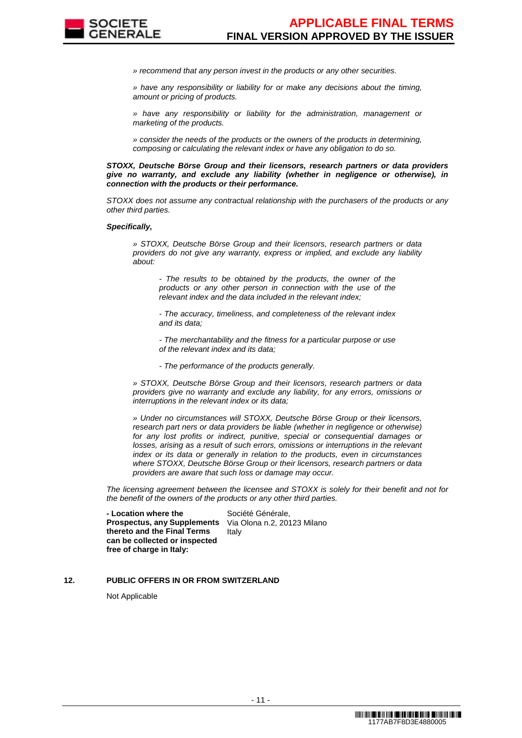

» recommend that any person invest in the products or any other securities.

» have any responsibility or liability for or make any decisions about the timing, amount or pricing of products.

» have any responsibility or liability for the administration, management or marketing of the products.

» consider the needs of the products or the owners of the products in determining, composing or calculating the relevant index or have any obligation to do so.

**STOXX, Deutsche Börse Group and their licensors, research partners or data providers give no warranty, and exclude any liability (whether in negligence or otherwise), in connection with the products or their performance.**

STOXX does not assume any contractual relationship with the purchasers of the products or any other third parties.

#### **Specifically,**

» STOXX, Deutsche Börse Group and their licensors, research partners or data providers do not give any warranty, express or implied, and exclude any liability about:

- The results to be obtained by the products, the owner of the products or any other person in connection with the use of the relevant index and the data included in the relevant index;

- The accuracy, timeliness, and completeness of the relevant index and its data;

- The merchantability and the fitness for a particular purpose or use of the relevant index and its data;

- The performance of the products generally.

» STOXX, Deutsche Börse Group and their licensors, research partners or data providers give no warranty and exclude any liability, for any errors, omissions or interruptions in the relevant index or its data;

» Under no circumstances will STOXX, Deutsche Börse Group or their licensors, research part ners or data providers be liable (whether in negligence or otherwise) for any lost profits or indirect, punitive, special or consequential damages or losses, arising as a result of such errors, omissions or interruptions in the relevant index or its data or generally in relation to the products, even in circumstances where STOXX, Deutsche Börse Group or their licensors, research partners or data providers are aware that such loss or damage may occur.

The licensing agreement between the licensee and STOXX is solely for their benefit and not for the benefit of the owners of the products or any other third parties.

 **- Location where the Prospectus, any Supplements thereto and the Final Terms can be collected or inspected free of charge in Italy:**

Société Générale, Via Olona n.2, 20123 Milano Italy

## **12. PUBLIC OFFERS IN OR FROM SWITZERLAND**

Not Applicable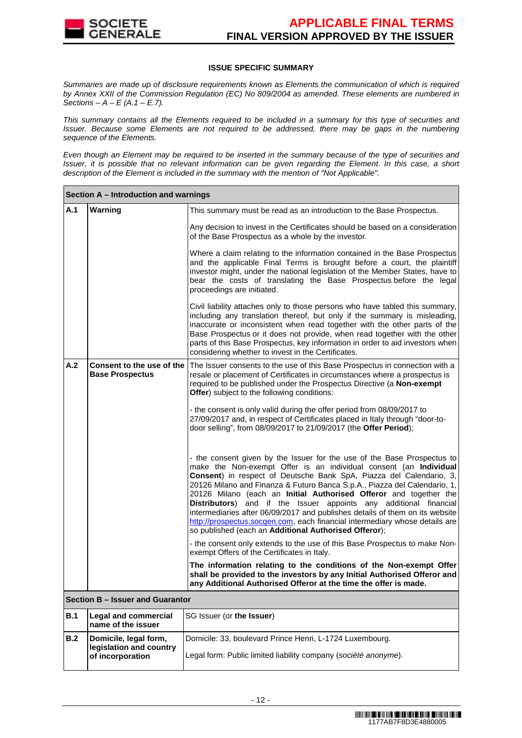

#### **ISSUE SPECIFIC SUMMARY**

Summaries are made up of disclosure requirements known as Elements the communication of which is required by Annex XXII of the Commission Regulation (EC) No 809/2004 as amended. These elements are numbered in Sections –  $A - E(A.1 - E.7)$ .

This summary contains all the Elements required to be included in a summary for this type of securities and Issuer. Because some Elements are not required to be addressed, there may be gaps in the numbering sequence of the Elements.

Even though an Element may be required to be inserted in the summary because of the type of securities and Issuer, it is possible that no relevant information can be given regarding the Element. In this case, a short description of the Element is included in the summary with the mention of "Not Applicable".

|            | Section A - Introduction and warnings                                |                                                                                                                                                                                                                                                                                                                                                                                                                                                                                                                                                                                                                                                                    |  |  |  |  |
|------------|----------------------------------------------------------------------|--------------------------------------------------------------------------------------------------------------------------------------------------------------------------------------------------------------------------------------------------------------------------------------------------------------------------------------------------------------------------------------------------------------------------------------------------------------------------------------------------------------------------------------------------------------------------------------------------------------------------------------------------------------------|--|--|--|--|
| A.1        | Warning                                                              | This summary must be read as an introduction to the Base Prospectus.                                                                                                                                                                                                                                                                                                                                                                                                                                                                                                                                                                                               |  |  |  |  |
|            |                                                                      | Any decision to invest in the Certificates should be based on a consideration<br>of the Base Prospectus as a whole by the investor.                                                                                                                                                                                                                                                                                                                                                                                                                                                                                                                                |  |  |  |  |
|            |                                                                      | Where a claim relating to the information contained in the Base Prospectus<br>and the applicable Final Terms is brought before a court, the plaintiff<br>investor might, under the national legislation of the Member States, have to<br>bear the costs of translating the Base Prospectus before the legal<br>proceedings are initiated.                                                                                                                                                                                                                                                                                                                          |  |  |  |  |
|            |                                                                      | Civil liability attaches only to those persons who have tabled this summary,<br>including any translation thereof, but only if the summary is misleading,<br>inaccurate or inconsistent when read together with the other parts of the<br>Base Prospectus or it does not provide, when read together with the other<br>parts of this Base Prospectus, key information in order to aid investors when<br>considering whether to invest in the Certificates.                                                                                                                                                                                                         |  |  |  |  |
| A.2        | Consent to the use of the<br><b>Base Prospectus</b>                  | The Issuer consents to the use of this Base Prospectus in connection with a<br>resale or placement of Certificates in circumstances where a prospectus is<br>required to be published under the Prospectus Directive (a Non-exempt<br><b>Offer</b> ) subject to the following conditions:                                                                                                                                                                                                                                                                                                                                                                          |  |  |  |  |
|            |                                                                      | - the consent is only valid during the offer period from 08/09/2017 to<br>27/09/2017 and, in respect of Certificates placed in Italy through "door-to-<br>door selling", from 08/09/2017 to 21/09/2017 (the Offer Period);                                                                                                                                                                                                                                                                                                                                                                                                                                         |  |  |  |  |
|            |                                                                      | - the consent given by the Issuer for the use of the Base Prospectus to<br>make the Non-exempt Offer is an individual consent (an Individual<br>Consent) in respect of Deutsche Bank SpA, Piazza del Calendario, 3,<br>20126 Milano and Finanza & Futuro Banca S.p.A., Piazza del Calendario, 1,<br>20126 Milano (each an Initial Authorised Offeror and together the<br>Distributors) and if the Issuer appoints any additional financial<br>intermediaries after 06/09/2017 and publishes details of them on its website<br>http://prospectus.socgen.com, each financial intermediary whose details are<br>so published (each an Additional Authorised Offeror); |  |  |  |  |
|            |                                                                      | - the consent only extends to the use of this Base Prospectus to make Non-<br>exempt Offers of the Certificates in Italy.                                                                                                                                                                                                                                                                                                                                                                                                                                                                                                                                          |  |  |  |  |
|            |                                                                      | The information relating to the conditions of the Non-exempt Offer<br>shall be provided to the investors by any Initial Authorised Offeror and<br>any Additional Authorised Offeror at the time the offer is made.                                                                                                                                                                                                                                                                                                                                                                                                                                                 |  |  |  |  |
|            | Section B - Issuer and Guarantor                                     |                                                                                                                                                                                                                                                                                                                                                                                                                                                                                                                                                                                                                                                                    |  |  |  |  |
| <b>B.1</b> | <b>Legal and commercial</b><br>name of the issuer                    | SG Issuer (or the Issuer)                                                                                                                                                                                                                                                                                                                                                                                                                                                                                                                                                                                                                                          |  |  |  |  |
| B.2        | Domicile, legal form,<br>legislation and country<br>of incorporation | Domicile: 33, boulevard Prince Henri, L-1724 Luxembourg.<br>Legal form: Public limited liability company (société anonyme).                                                                                                                                                                                                                                                                                                                                                                                                                                                                                                                                        |  |  |  |  |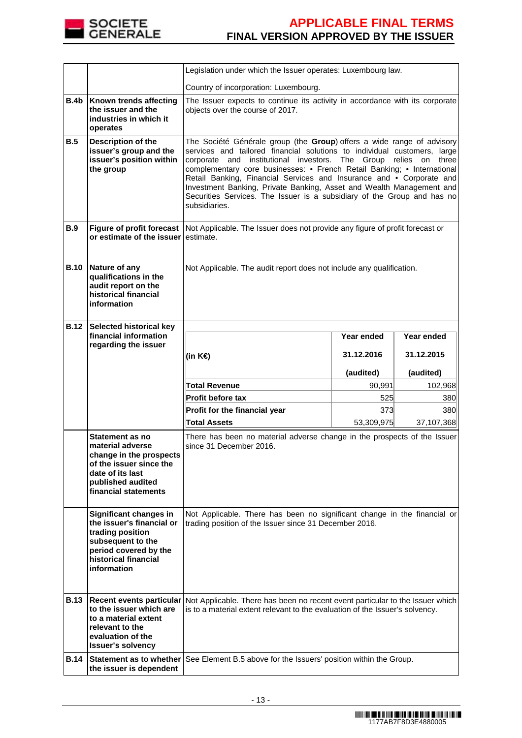

|                            |                                                                                                                                                                   | Legislation under which the Issuer operates: Luxembourg law.                                                                                                                                                                                                                                                                                                                                                                                                                                                                                  |            |            |  |  |
|----------------------------|-------------------------------------------------------------------------------------------------------------------------------------------------------------------|-----------------------------------------------------------------------------------------------------------------------------------------------------------------------------------------------------------------------------------------------------------------------------------------------------------------------------------------------------------------------------------------------------------------------------------------------------------------------------------------------------------------------------------------------|------------|------------|--|--|
|                            |                                                                                                                                                                   | Country of incorporation: Luxembourg.                                                                                                                                                                                                                                                                                                                                                                                                                                                                                                         |            |            |  |  |
| <b>B.4b</b>                | Known trends affecting<br>the issuer and the<br>industries in which it<br>operates                                                                                | The Issuer expects to continue its activity in accordance with its corporate<br>objects over the course of 2017.                                                                                                                                                                                                                                                                                                                                                                                                                              |            |            |  |  |
| B.5                        | Description of the<br>issuer's group and the<br>issuer's position within<br>the group                                                                             | The Société Générale group (the Group) offers a wide range of advisory<br>services and tailored financial solutions to individual customers, large<br>corporate and institutional investors. The Group relies on three<br>complementary core businesses: • French Retail Banking; • International<br>Retail Banking, Financial Services and Insurance and • Corporate and<br>Investment Banking, Private Banking, Asset and Wealth Management and<br>Securities Services. The Issuer is a subsidiary of the Group and has no<br>subsidiaries. |            |            |  |  |
| <b>B.9</b>                 | <b>Figure of profit forecast</b><br>or estimate of the issuer                                                                                                     | Not Applicable. The Issuer does not provide any figure of profit forecast or<br>estimate.                                                                                                                                                                                                                                                                                                                                                                                                                                                     |            |            |  |  |
| <b>B.10</b>                | Nature of any<br>qualifications in the<br>audit report on the<br>historical financial<br>information                                                              | Not Applicable. The audit report does not include any qualification.                                                                                                                                                                                                                                                                                                                                                                                                                                                                          |            |            |  |  |
| <b>B.12</b>                | <b>Selected historical key</b><br>financial information                                                                                                           |                                                                                                                                                                                                                                                                                                                                                                                                                                                                                                                                               | Year ended | Year ended |  |  |
|                            | regarding the issuer                                                                                                                                              |                                                                                                                                                                                                                                                                                                                                                                                                                                                                                                                                               |            |            |  |  |
|                            |                                                                                                                                                                   | (in K€)                                                                                                                                                                                                                                                                                                                                                                                                                                                                                                                                       | 31.12.2016 | 31.12.2015 |  |  |
|                            |                                                                                                                                                                   |                                                                                                                                                                                                                                                                                                                                                                                                                                                                                                                                               |            |            |  |  |
|                            |                                                                                                                                                                   |                                                                                                                                                                                                                                                                                                                                                                                                                                                                                                                                               | (audited)  | (audited)  |  |  |
|                            |                                                                                                                                                                   | <b>Total Revenue</b>                                                                                                                                                                                                                                                                                                                                                                                                                                                                                                                          | 90,991     | 102,968    |  |  |
|                            |                                                                                                                                                                   | <b>Profit before tax</b>                                                                                                                                                                                                                                                                                                                                                                                                                                                                                                                      | 525        | 380        |  |  |
|                            |                                                                                                                                                                   | Profit for the financial year                                                                                                                                                                                                                                                                                                                                                                                                                                                                                                                 | 373        | 380        |  |  |
|                            |                                                                                                                                                                   | <b>Total Assets</b>                                                                                                                                                                                                                                                                                                                                                                                                                                                                                                                           | 53,309,975 | 37,107,368 |  |  |
|                            | <b>Statement as no</b><br>material adverse<br>change in the prospects<br>of the issuer since the<br>date of its last<br>published audited<br>financial statements | There has been no material adverse change in the prospects of the Issuer<br>since 31 December 2016.                                                                                                                                                                                                                                                                                                                                                                                                                                           |            |            |  |  |
|                            | Significant changes in<br>the issuer's financial or<br>trading position<br>subsequent to the<br>period covered by the<br>historical financial<br>information      | Not Applicable. There has been no significant change in the financial or<br>trading position of the Issuer since 31 December 2016.                                                                                                                                                                                                                                                                                                                                                                                                            |            |            |  |  |
| <b>B.13</b><br><b>B.14</b> | to the issuer which are<br>to a material extent<br>relevant to the<br>evaluation of the<br><b>Issuer's solvency</b>                                               | Recent events particular   Not Applicable. There has been no recent event particular to the Issuer which<br>is to a material extent relevant to the evaluation of the Issuer's solvency.<br>See Element B.5 above for the Issuers' position within the Group.                                                                                                                                                                                                                                                                                 |            |            |  |  |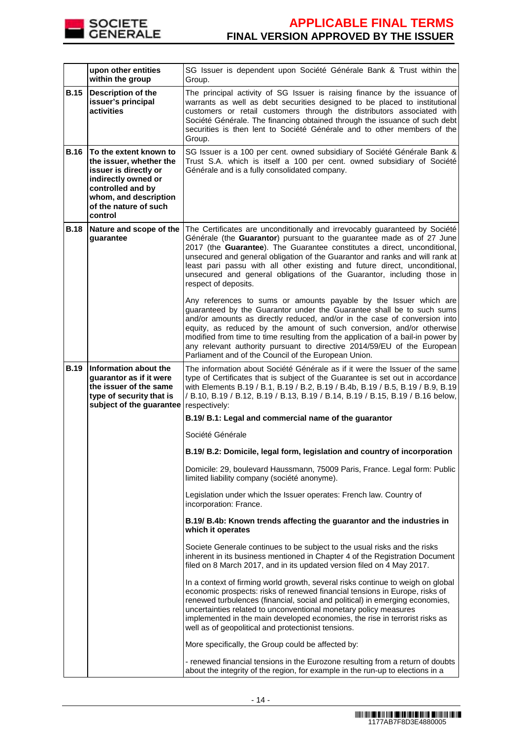

|             | upon other entities<br>within the group                                                                                                                                             | SG Issuer is dependent upon Société Générale Bank & Trust within the<br>Group.                                                                                                                                                                                                                                                                                                                                                                                                                                         |
|-------------|-------------------------------------------------------------------------------------------------------------------------------------------------------------------------------------|------------------------------------------------------------------------------------------------------------------------------------------------------------------------------------------------------------------------------------------------------------------------------------------------------------------------------------------------------------------------------------------------------------------------------------------------------------------------------------------------------------------------|
| <b>B.15</b> | <b>Description of the</b><br>issuer's principal<br>activities                                                                                                                       | The principal activity of SG Issuer is raising finance by the issuance of<br>warrants as well as debt securities designed to be placed to institutional<br>customers or retail customers through the distributors associated with<br>Société Générale. The financing obtained through the issuance of such debt<br>securities is then lent to Société Générale and to other members of the<br>Group.                                                                                                                   |
| <b>B.16</b> | To the extent known to<br>the issuer, whether the<br>issuer is directly or<br>indirectly owned or<br>controlled and by<br>whom, and description<br>of the nature of such<br>control | SG Issuer is a 100 per cent. owned subsidiary of Société Générale Bank &<br>Trust S.A. which is itself a 100 per cent. owned subsidiary of Société<br>Générale and is a fully consolidated company.                                                                                                                                                                                                                                                                                                                    |
| <b>B.18</b> | Nature and scope of the<br>guarantee                                                                                                                                                | The Certificates are unconditionally and irrevocably guaranteed by Société<br>Générale (the Guarantor) pursuant to the guarantee made as of 27 June<br>2017 (the Guarantee). The Guarantee constitutes a direct, unconditional,<br>unsecured and general obligation of the Guarantor and ranks and will rank at<br>least pari passu with all other existing and future direct, unconditional,<br>unsecured and general obligations of the Guarantor, including those in<br>respect of deposits.                        |
|             |                                                                                                                                                                                     | Any references to sums or amounts payable by the Issuer which are<br>guaranteed by the Guarantor under the Guarantee shall be to such sums<br>and/or amounts as directly reduced, and/or in the case of conversion into<br>equity, as reduced by the amount of such conversion, and/or otherwise<br>modified from time to time resulting from the application of a bail-in power by<br>any relevant authority pursuant to directive 2014/59/EU of the European<br>Parliament and of the Council of the European Union. |
| <b>B.19</b> | Information about the<br>quarantor as if it were<br>the issuer of the same<br>type of security that is<br>subject of the guarantee                                                  | The information about Société Générale as if it were the Issuer of the same<br>type of Certificates that is subject of the Guarantee is set out in accordance<br>with Elements B.19 / B.1, B.19 / B.2, B.19 / B.4b, B.19 / B.5, B.19 / B.9, B.19<br>/ B.10, B.19 / B.12, B.19 / B.13, B.19 / B.14, B.19 / B.15, B.19 / B.16 below,<br>respectively:                                                                                                                                                                    |
|             |                                                                                                                                                                                     | B.19/ B.1: Legal and commercial name of the guarantor                                                                                                                                                                                                                                                                                                                                                                                                                                                                  |
|             |                                                                                                                                                                                     | Société Générale                                                                                                                                                                                                                                                                                                                                                                                                                                                                                                       |
|             |                                                                                                                                                                                     | B.19/ B.2: Domicile, legal form, legislation and country of incorporation                                                                                                                                                                                                                                                                                                                                                                                                                                              |
|             |                                                                                                                                                                                     | Domicile: 29, boulevard Haussmann, 75009 Paris, France. Legal form: Public<br>limited liability company (société anonyme).                                                                                                                                                                                                                                                                                                                                                                                             |
|             |                                                                                                                                                                                     | Legislation under which the Issuer operates: French law. Country of<br>incorporation: France.                                                                                                                                                                                                                                                                                                                                                                                                                          |
|             |                                                                                                                                                                                     | B.19/ B.4b: Known trends affecting the guarantor and the industries in<br>which it operates                                                                                                                                                                                                                                                                                                                                                                                                                            |
|             |                                                                                                                                                                                     | Societe Generale continues to be subject to the usual risks and the risks<br>inherent in its business mentioned in Chapter 4 of the Registration Document<br>filed on 8 March 2017, and in its updated version filed on 4 May 2017.                                                                                                                                                                                                                                                                                    |
|             |                                                                                                                                                                                     | In a context of firming world growth, several risks continue to weigh on global<br>economic prospects: risks of renewed financial tensions in Europe, risks of<br>renewed turbulences (financial, social and political) in emerging economies,<br>uncertainties related to unconventional monetary policy measures<br>implemented in the main developed economies, the rise in terrorist risks as<br>well as of geopolitical and protectionist tensions.                                                               |
|             |                                                                                                                                                                                     | More specifically, the Group could be affected by:                                                                                                                                                                                                                                                                                                                                                                                                                                                                     |
|             |                                                                                                                                                                                     | - renewed financial tensions in the Eurozone resulting from a return of doubts<br>about the integrity of the region, for example in the run-up to elections in a                                                                                                                                                                                                                                                                                                                                                       |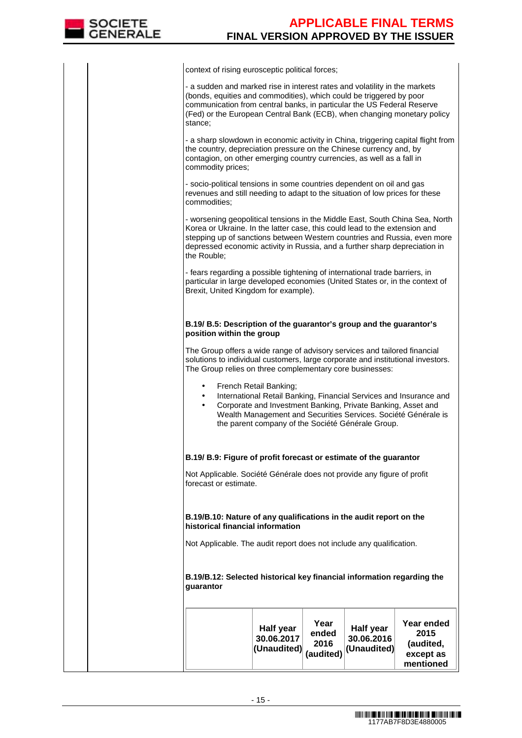

context of rising eurosceptic political forces;

- a sudden and marked rise in interest rates and volatility in the markets (bonds, equities and commodities), which could be triggered by poor communication from central banks, in particular the US Federal Reserve (Fed) or the European Central Bank (ECB), when changing monetary policy stance;

- a sharp slowdown in economic activity in China, triggering capital flight from the country, depreciation pressure on the Chinese currency and, by contagion, on other emerging country currencies, as well as a fall in commodity prices;

- socio-political tensions in some countries dependent on oil and gas revenues and still needing to adapt to the situation of low prices for these commodities;

- worsening geopolitical tensions in the Middle East, South China Sea, North Korea or Ukraine. In the latter case, this could lead to the extension and stepping up of sanctions between Western countries and Russia, even more depressed economic activity in Russia, and a further sharp depreciation in the Rouble;

- fears regarding a possible tightening of international trade barriers, in particular in large developed economies (United States or, in the context of Brexit, United Kingdom for example).

#### **B.19/ B.5: Description of the guarantor's group and the guarantor's position within the group**

The Group offers a wide range of advisory services and tailored financial solutions to individual customers, large corporate and institutional investors. The Group relies on three complementary core businesses:

- French Retail Banking;
- International Retail Banking, Financial Services and Insurance and
- Corporate and Investment Banking, Private Banking, Asset and Wealth Management and Securities Services. Société Générale is the parent company of the Société Générale Group.

# **B.19/ B.9: Figure of profit forecast or estimate of the guarantor**

Not Applicable. Société Générale does not provide any figure of profit forecast or estimate.

### **B.19/B.10: Nature of any qualifications in the audit report on the historical financial information**

Not Applicable. The audit report does not include any qualification.

**B.19/B.12: Selected historical key financial information regarding the guarantor**

|  |  | Half year<br>30.06.2017<br>(Unaudited) | Year<br>ended<br>2016<br>(audited) | Half year<br>30.06.2016<br>$ $ (Unaudited) $ $ | Year ended<br>2015<br>(audited,<br>except as<br>mentioned |
|--|--|----------------------------------------|------------------------------------|------------------------------------------------|-----------------------------------------------------------|
|--|--|----------------------------------------|------------------------------------|------------------------------------------------|-----------------------------------------------------------|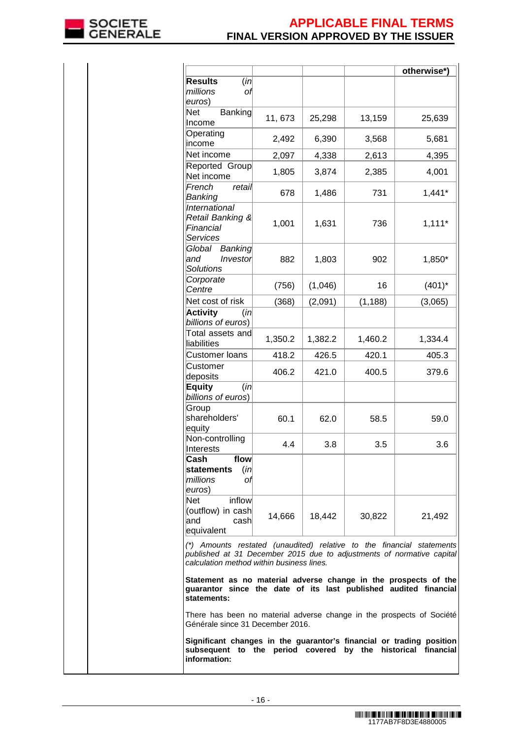

|                                                                                                                                                                                             |         |         |          | otherwise*) |
|---------------------------------------------------------------------------------------------------------------------------------------------------------------------------------------------|---------|---------|----------|-------------|
| <b>Results</b><br>(in<br>millions<br>оf<br>euros)                                                                                                                                           |         |         |          |             |
| Banking<br>Net<br>Income                                                                                                                                                                    | 11,673  | 25,298  | 13,159   | 25,639      |
| Operating<br>income                                                                                                                                                                         | 2,492   | 6,390   | 3,568    | 5,681       |
| Net income                                                                                                                                                                                  | 2,097   | 4,338   | 2,613    | 4,395       |
| Reported Group<br>Net income                                                                                                                                                                | 1,805   | 3,874   | 2,385    | 4,001       |
| French<br>retail<br>Banking                                                                                                                                                                 | 678     | 1,486   | 731      | $1,441*$    |
| International<br>Retail Banking &<br>Financial<br>Services                                                                                                                                  | 1,001   | 1,631   | 736      | $1,111*$    |
| Global<br>Banking<br>land<br>Investor<br><b>Solutions</b>                                                                                                                                   | 882     | 1,803   | 902      | 1,850*      |
| Corporate<br>Centre                                                                                                                                                                         | (756)   | (1,046) | 16       | $(401)^*$   |
| Net cost of risk                                                                                                                                                                            | (368)   | (2,091) | (1, 188) | (3,065)     |
| <b>Activity</b><br>(in)<br>billions of euros)                                                                                                                                               |         |         |          |             |
| Total assets and<br>liabilities                                                                                                                                                             | 1,350.2 | 1,382.2 | 1,460.2  | 1,334.4     |
| Customer loans                                                                                                                                                                              | 418.2   | 426.5   | 420.1    | 405.3       |
| Customer<br>deposits                                                                                                                                                                        | 406.2   | 421.0   | 400.5    | 379.6       |
| <b>Equity</b><br>(in<br>billions of euros)                                                                                                                                                  |         |         |          |             |
| Group<br>shareholders'<br>equity                                                                                                                                                            | 60.1    | 62.0    | 58.5     | 59.0        |
| Non-controlling<br>Interests                                                                                                                                                                | 4.4     | 3.8     | 3.5      | 3.6         |
| Cash<br>flow<br>statements<br>(in<br>millions<br>Οľ<br>euros)                                                                                                                               |         |         |          |             |
| inflow<br>Net<br>(outflow) in cash<br>land<br>cash<br>equivalent                                                                                                                            | 14,666  | 18,442  | 30,822   | 21,492      |
| (*) Amounts restated (unaudited) relative to the financial statements<br>published at 31 December 2015 due to adjustments of normative capital<br>calculation method within business lines. |         |         |          |             |
| Statement as no material adverse change in the prospects of the<br>guarantor since the date of its last published audited financial<br>statements:                                          |         |         |          |             |
| There has been no material adverse change in the prospects of Société<br>Générale since 31 December 2016.                                                                                   |         |         |          |             |
| Significant changes in the guarantor's financial or trading position<br>subsequent to the period covered by the historical financial<br>information:                                        |         |         |          |             |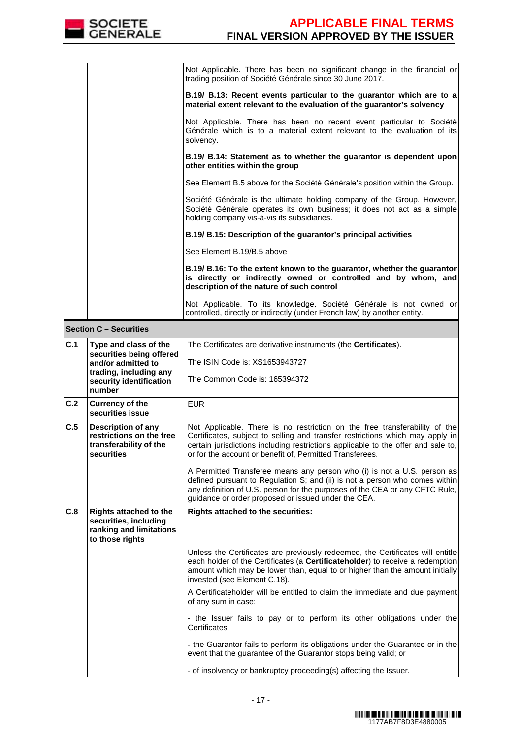

|     |                                                                                                      | Not Applicable. There has been no significant change in the financial or<br>trading position of Société Générale since 30 June 2017.                                                                                                                                                                         |
|-----|------------------------------------------------------------------------------------------------------|--------------------------------------------------------------------------------------------------------------------------------------------------------------------------------------------------------------------------------------------------------------------------------------------------------------|
|     |                                                                                                      | B.19/ B.13: Recent events particular to the guarantor which are to a<br>material extent relevant to the evaluation of the guarantor's solvency                                                                                                                                                               |
|     |                                                                                                      | Not Applicable. There has been no recent event particular to Société<br>Générale which is to a material extent relevant to the evaluation of its<br>solvency.                                                                                                                                                |
|     |                                                                                                      | B.19/ B.14: Statement as to whether the guarantor is dependent upon<br>other entities within the group                                                                                                                                                                                                       |
|     |                                                                                                      | See Element B.5 above for the Société Générale's position within the Group.                                                                                                                                                                                                                                  |
|     |                                                                                                      | Société Générale is the ultimate holding company of the Group. However,<br>Société Générale operates its own business; it does not act as a simple<br>holding company vis-à-vis its subsidiaries.                                                                                                            |
|     |                                                                                                      | B.19/ B.15: Description of the guarantor's principal activities                                                                                                                                                                                                                                              |
|     |                                                                                                      | See Element B.19/B.5 above                                                                                                                                                                                                                                                                                   |
|     |                                                                                                      | B.19/ B.16: To the extent known to the guarantor, whether the guarantor<br>is directly or indirectly owned or controlled and by whom, and<br>description of the nature of such control                                                                                                                       |
|     |                                                                                                      | Not Applicable. To its knowledge, Société Générale is not owned or<br>controlled, directly or indirectly (under French law) by another entity.                                                                                                                                                               |
|     | <b>Section C - Securities</b>                                                                        |                                                                                                                                                                                                                                                                                                              |
| C.1 | Type and class of the<br>securities being offered                                                    | The Certificates are derivative instruments (the <b>Certificates</b> ).                                                                                                                                                                                                                                      |
|     | and/or admitted to                                                                                   | The ISIN Code is: XS1653943727                                                                                                                                                                                                                                                                               |
|     | trading, including any<br>security identification<br>number                                          | The Common Code is: 165394372                                                                                                                                                                                                                                                                                |
| C.2 | <b>Currency of the</b><br>securities issue                                                           | <b>EUR</b>                                                                                                                                                                                                                                                                                                   |
| C.5 | Description of any<br>restrictions on the free<br>transferability of the<br>securities               | Not Applicable. There is no restriction on the free transferability of the<br>Certificates, subject to selling and transfer restrictions which may apply in<br>certain jurisdictions including restrictions applicable to the offer and sale to,<br>or for the account or benefit of, Permitted Transferees. |
|     |                                                                                                      | A Permitted Transferee means any person who (i) is not a U.S. person as<br>defined pursuant to Regulation S; and (ii) is not a person who comes within<br>any definition of U.S. person for the purposes of the CEA or any CFTC Rule,<br>guidance or order proposed or issued under the CEA.                 |
| C.8 | <b>Rights attached to the</b><br>securities, including<br>ranking and limitations<br>to those rights | Rights attached to the securities:                                                                                                                                                                                                                                                                           |
|     |                                                                                                      | Unless the Certificates are previously redeemed, the Certificates will entitle<br>each holder of the Certificates (a Certificateholder) to receive a redemption<br>amount which may be lower than, equal to or higher than the amount initially<br>invested (see Element C.18).                              |
|     |                                                                                                      | A Certificateholder will be entitled to claim the immediate and due payment<br>of any sum in case:                                                                                                                                                                                                           |
|     |                                                                                                      | - the Issuer fails to pay or to perform its other obligations under the<br>Certificates                                                                                                                                                                                                                      |
|     |                                                                                                      | - the Guarantor fails to perform its obligations under the Guarantee or in the<br>event that the guarantee of the Guarantor stops being valid; or                                                                                                                                                            |
|     |                                                                                                      | - of insolvency or bankruptcy proceeding(s) affecting the Issuer.                                                                                                                                                                                                                                            |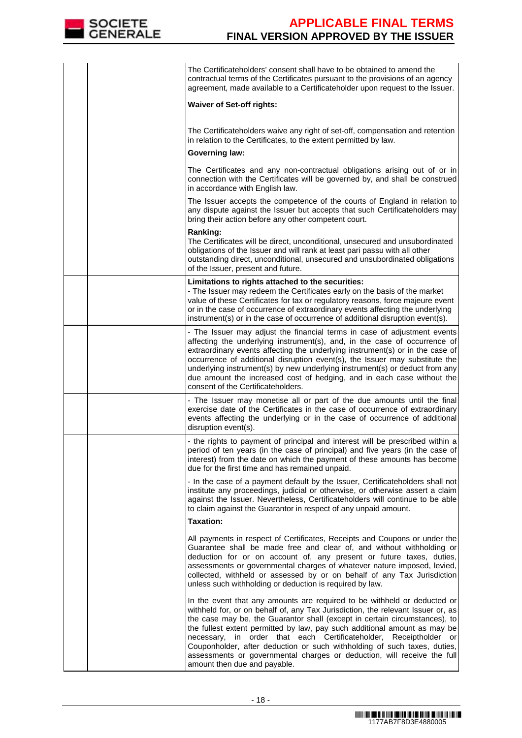

|  | The Certificateholders' consent shall have to be obtained to amend the<br>contractual terms of the Certificates pursuant to the provisions of an agency<br>agreement, made available to a Certificateholder upon request to the Issuer.                                                                                                                                                                                                                                                                                                                                                  |
|--|------------------------------------------------------------------------------------------------------------------------------------------------------------------------------------------------------------------------------------------------------------------------------------------------------------------------------------------------------------------------------------------------------------------------------------------------------------------------------------------------------------------------------------------------------------------------------------------|
|  | <b>Waiver of Set-off rights:</b>                                                                                                                                                                                                                                                                                                                                                                                                                                                                                                                                                         |
|  | The Certificateholders waive any right of set-off, compensation and retention<br>in relation to the Certificates, to the extent permitted by law.                                                                                                                                                                                                                                                                                                                                                                                                                                        |
|  | <b>Governing law:</b>                                                                                                                                                                                                                                                                                                                                                                                                                                                                                                                                                                    |
|  | The Certificates and any non-contractual obligations arising out of or in<br>connection with the Certificates will be governed by, and shall be construed<br>in accordance with English law.                                                                                                                                                                                                                                                                                                                                                                                             |
|  | The Issuer accepts the competence of the courts of England in relation to<br>any dispute against the Issuer but accepts that such Certificateholders may<br>bring their action before any other competent court.                                                                                                                                                                                                                                                                                                                                                                         |
|  | Ranking:<br>The Certificates will be direct, unconditional, unsecured and unsubordinated<br>obligations of the Issuer and will rank at least pari passu with all other<br>outstanding direct, unconditional, unsecured and unsubordinated obligations<br>of the Issuer, present and future.                                                                                                                                                                                                                                                                                              |
|  | Limitations to rights attached to the securities:<br>- The Issuer may redeem the Certificates early on the basis of the market<br>value of these Certificates for tax or regulatory reasons, force majeure event<br>or in the case of occurrence of extraordinary events affecting the underlying<br>instrument(s) or in the case of occurrence of additional disruption event(s).                                                                                                                                                                                                       |
|  | - The Issuer may adjust the financial terms in case of adjustment events<br>affecting the underlying instrument(s), and, in the case of occurrence of<br>extraordinary events affecting the underlying instrument(s) or in the case of<br>occurrence of additional disruption event(s), the Issuer may substitute the<br>underlying instrument(s) by new underlying instrument(s) or deduct from any<br>due amount the increased cost of hedging, and in each case without the<br>consent of the Certificateholders.                                                                     |
|  | - The Issuer may monetise all or part of the due amounts until the final<br>exercise date of the Certificates in the case of occurrence of extraordinary<br>events affecting the underlying or in the case of occurrence of additional<br>disruption event(s).                                                                                                                                                                                                                                                                                                                           |
|  | - the rights to payment of principal and interest will be prescribed within a<br>period of ten years (in the case of principal) and five years (in the case of<br>interest) from the date on which the payment of these amounts has become<br>due for the first time and has remained unpaid.                                                                                                                                                                                                                                                                                            |
|  | - In the case of a payment default by the Issuer, Certificateholders shall not<br>institute any proceedings, judicial or otherwise, or otherwise assert a claim<br>against the Issuer. Nevertheless, Certificateholders will continue to be able<br>to claim against the Guarantor in respect of any unpaid amount.                                                                                                                                                                                                                                                                      |
|  | <b>Taxation:</b>                                                                                                                                                                                                                                                                                                                                                                                                                                                                                                                                                                         |
|  | All payments in respect of Certificates, Receipts and Coupons or under the<br>Guarantee shall be made free and clear of, and without withholding or<br>deduction for or on account of, any present or future taxes, duties,<br>assessments or governmental charges of whatever nature imposed, levied,<br>collected, withheld or assessed by or on behalf of any Tax Jurisdiction<br>unless such withholding or deduction is required by law.                                                                                                                                            |
|  | In the event that any amounts are required to be withheld or deducted or<br>withheld for, or on behalf of, any Tax Jurisdiction, the relevant Issuer or, as<br>the case may be, the Guarantor shall (except in certain circumstances), to<br>the fullest extent permitted by law, pay such additional amount as may be<br>in order that each Certificateholder,<br>necessary,<br>Receiptholder or<br>Couponholder, after deduction or such withholding of such taxes, duties,<br>assessments or governmental charges or deduction, will receive the full<br>amount then due and payable. |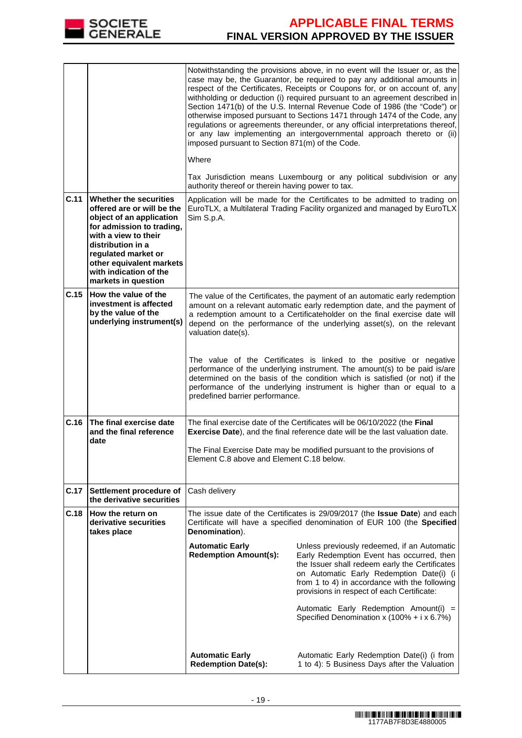

|      |                                                                                                                                                                                                                                                                | imposed pursuant to Section 871(m) of the Code.<br>Where                                                                                                                                                                                                                                                                             | Notwithstanding the provisions above, in no event will the Issuer or, as the<br>case may be, the Guarantor, be required to pay any additional amounts in<br>respect of the Certificates, Receipts or Coupons for, or on account of, any<br>withholding or deduction (i) required pursuant to an agreement described in<br>Section 1471(b) of the U.S. Internal Revenue Code of 1986 (the "Code") or<br>otherwise imposed pursuant to Sections 1471 through 1474 of the Code, any<br>regulations or agreements thereunder, or any official interpretations thereof,<br>or any law implementing an intergovernmental approach thereto or (ii)<br>Tax Jurisdiction means Luxembourg or any political subdivision or any |  |
|------|----------------------------------------------------------------------------------------------------------------------------------------------------------------------------------------------------------------------------------------------------------------|--------------------------------------------------------------------------------------------------------------------------------------------------------------------------------------------------------------------------------------------------------------------------------------------------------------------------------------|----------------------------------------------------------------------------------------------------------------------------------------------------------------------------------------------------------------------------------------------------------------------------------------------------------------------------------------------------------------------------------------------------------------------------------------------------------------------------------------------------------------------------------------------------------------------------------------------------------------------------------------------------------------------------------------------------------------------|--|
|      |                                                                                                                                                                                                                                                                | authority thereof or therein having power to tax.                                                                                                                                                                                                                                                                                    |                                                                                                                                                                                                                                                                                                                                                                                                                                                                                                                                                                                                                                                                                                                      |  |
| C.11 | Whether the securities<br>offered are or will be the<br>object of an application<br>for admission to trading,<br>with a view to their<br>distribution in a<br>regulated market or<br>other equivalent markets<br>with indication of the<br>markets in question | Sim S.p.A.                                                                                                                                                                                                                                                                                                                           | Application will be made for the Certificates to be admitted to trading on<br>EuroTLX, a Multilateral Trading Facility organized and managed by EuroTLX                                                                                                                                                                                                                                                                                                                                                                                                                                                                                                                                                              |  |
| C.15 | How the value of the<br>investment is affected<br>by the value of the<br>underlying instrument(s)                                                                                                                                                              | The value of the Certificates, the payment of an automatic early redemption<br>amount on a relevant automatic early redemption date, and the payment of<br>a redemption amount to a Certificateholder on the final exercise date will<br>depend on the performance of the underlying asset(s), on the relevant<br>valuation date(s). |                                                                                                                                                                                                                                                                                                                                                                                                                                                                                                                                                                                                                                                                                                                      |  |
|      |                                                                                                                                                                                                                                                                | predefined barrier performance.                                                                                                                                                                                                                                                                                                      | The value of the Certificates is linked to the positive or negative<br>performance of the underlying instrument. The amount(s) to be paid is/are<br>determined on the basis of the condition which is satisfied (or not) if the<br>performance of the underlying instrument is higher than or equal to a                                                                                                                                                                                                                                                                                                                                                                                                             |  |
| C.16 | The final exercise date<br>and the final reference<br>date                                                                                                                                                                                                     |                                                                                                                                                                                                                                                                                                                                      | The final exercise date of the Certificates will be 06/10/2022 (the Final<br>Exercise Date), and the final reference date will be the last valuation date.                                                                                                                                                                                                                                                                                                                                                                                                                                                                                                                                                           |  |
|      |                                                                                                                                                                                                                                                                | The Final Exercise Date may be modified pursuant to the provisions of<br>Element C.8 above and Element C.18 below.                                                                                                                                                                                                                   |                                                                                                                                                                                                                                                                                                                                                                                                                                                                                                                                                                                                                                                                                                                      |  |
| C.17 | Settlement procedure of<br>the derivative securities                                                                                                                                                                                                           | Cash delivery                                                                                                                                                                                                                                                                                                                        |                                                                                                                                                                                                                                                                                                                                                                                                                                                                                                                                                                                                                                                                                                                      |  |
| C.18 | How the return on<br>derivative securities<br>takes place                                                                                                                                                                                                      | The issue date of the Certificates is 29/09/2017 (the Issue Date) and each<br>Certificate will have a specified denomination of EUR 100 (the Specified<br>Denomination).                                                                                                                                                             |                                                                                                                                                                                                                                                                                                                                                                                                                                                                                                                                                                                                                                                                                                                      |  |
|      |                                                                                                                                                                                                                                                                | <b>Automatic Early</b><br><b>Redemption Amount(s):</b>                                                                                                                                                                                                                                                                               | Unless previously redeemed, if an Automatic<br>Early Redemption Event has occurred, then<br>the Issuer shall redeem early the Certificates<br>on Automatic Early Redemption Date(i) (i<br>from 1 to 4) in accordance with the following<br>provisions in respect of each Certificate:                                                                                                                                                                                                                                                                                                                                                                                                                                |  |
|      |                                                                                                                                                                                                                                                                |                                                                                                                                                                                                                                                                                                                                      | Automatic Early Redemption Amount(i) =<br>Specified Denomination x (100% + i x 6.7%)                                                                                                                                                                                                                                                                                                                                                                                                                                                                                                                                                                                                                                 |  |
|      |                                                                                                                                                                                                                                                                | <b>Automatic Early</b><br><b>Redemption Date(s):</b>                                                                                                                                                                                                                                                                                 | Automatic Early Redemption Date(i) (i from<br>1 to 4): 5 Business Days after the Valuation                                                                                                                                                                                                                                                                                                                                                                                                                                                                                                                                                                                                                           |  |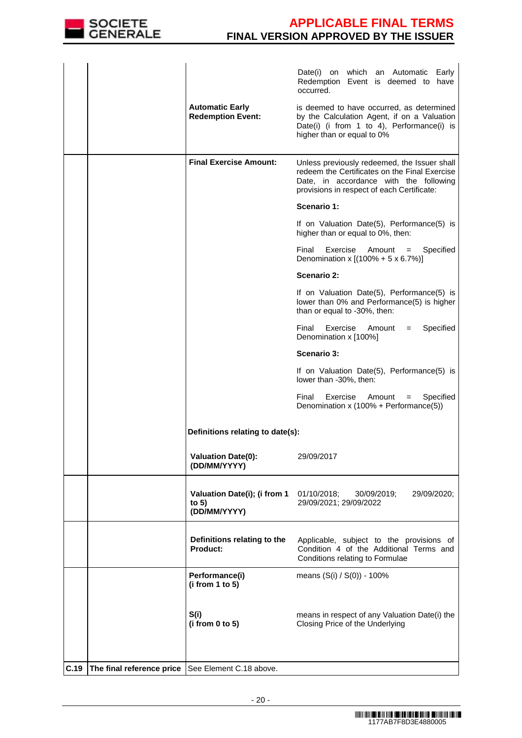

|      |                                                   |                                                         | Date(i) on which an Automatic Early<br>Redemption Event is deemed to have<br>occurred.                                                                                                |
|------|---------------------------------------------------|---------------------------------------------------------|---------------------------------------------------------------------------------------------------------------------------------------------------------------------------------------|
|      |                                                   | <b>Automatic Early</b><br><b>Redemption Event:</b>      | is deemed to have occurred, as determined<br>by the Calculation Agent, if on a Valuation<br>Date(i) (i from 1 to 4), Performance(i) is<br>higher than or equal to 0%                  |
|      |                                                   | <b>Final Exercise Amount:</b>                           | Unless previously redeemed, the Issuer shall<br>redeem the Certificates on the Final Exercise<br>Date, in accordance with the following<br>provisions in respect of each Certificate: |
|      |                                                   |                                                         | Scenario 1:                                                                                                                                                                           |
|      |                                                   |                                                         | If on Valuation Date(5), Performance(5) is<br>higher than or equal to 0%, then:                                                                                                       |
|      |                                                   |                                                         | Final<br>Exercise<br>Amount<br>Specified<br>$=$<br>Denomination x [(100% + 5 x 6.7%)]                                                                                                 |
|      |                                                   |                                                         | Scenario 2:                                                                                                                                                                           |
|      |                                                   |                                                         | If on Valuation Date(5), Performance(5) is<br>lower than 0% and Performance(5) is higher<br>than or equal to -30%, then:                                                              |
|      |                                                   |                                                         | Final<br>Exercise<br>Specified<br>Amount<br>$=$<br>Denomination x [100%]                                                                                                              |
|      |                                                   |                                                         | <b>Scenario 3:</b>                                                                                                                                                                    |
|      |                                                   |                                                         | If on Valuation Date(5), Performance(5) is<br>lower than -30%, then:                                                                                                                  |
|      |                                                   |                                                         | Final<br>Exercise<br>Amount<br>Specified<br>$=$<br>Denomination x (100% + Performance(5))                                                                                             |
|      |                                                   | Definitions relating to date(s):                        |                                                                                                                                                                                       |
|      |                                                   | <b>Valuation Date(0):</b><br>(DD/MM/YYYY)               | 29/09/2017                                                                                                                                                                            |
|      |                                                   | Valuation Date(i); (i from 1<br>to $5)$<br>(DD/MM/YYYY) | 01/10/2018;<br>30/09/2019;<br>29/09/2020;<br>29/09/2021; 29/09/2022                                                                                                                   |
|      |                                                   | Definitions relating to the<br>Product:                 | Applicable, subject to the provisions of<br>Condition 4 of the Additional Terms and<br>Conditions relating to Formulae                                                                |
|      |                                                   | Performance(i)<br>(i from 1 to 5)                       | means (S(i) / S(0)) - 100%                                                                                                                                                            |
|      |                                                   | S(i)<br>(i from 0 to 5)                                 | means in respect of any Valuation Date(i) the<br>Closing Price of the Underlying                                                                                                      |
| C.19 | The final reference price See Element C.18 above. |                                                         |                                                                                                                                                                                       |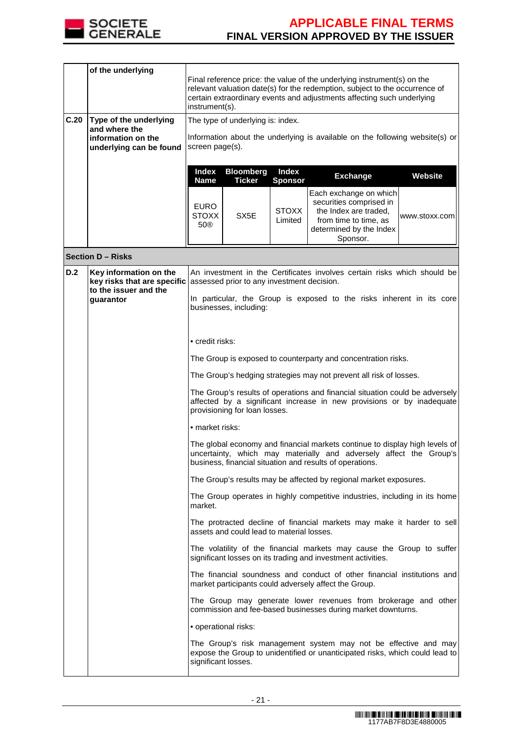

 $\Gamma$ 

# **APPLICABLE FINAL TERMS FINAL VERSION APPROVED BY THE ISSUER**

|      | of the underlying                                                                        | Final reference price: the value of the underlying instrument(s) on the<br>relevant valuation date(s) for the redemption, subject to the occurrence of<br>certain extraordinary events and adjustments affecting such underlying<br>instrument(s). |                                            |                                |                                                                                                                                                                                                               |               |
|------|------------------------------------------------------------------------------------------|----------------------------------------------------------------------------------------------------------------------------------------------------------------------------------------------------------------------------------------------------|--------------------------------------------|--------------------------------|---------------------------------------------------------------------------------------------------------------------------------------------------------------------------------------------------------------|---------------|
| C.20 | Type of the underlying<br>and where the<br>information on the<br>underlying can be found | The type of underlying is: index.<br>Information about the underlying is available on the following website(s) or<br>screen page(s).                                                                                                               |                                            |                                |                                                                                                                                                                                                               |               |
|      |                                                                                          | <b>Index</b><br><b>Name</b>                                                                                                                                                                                                                        | <b>Bloomberg</b><br><b>Ticker</b>          | <b>Index</b><br><b>Sponsor</b> | <b>Exchange</b>                                                                                                                                                                                               | Website       |
|      |                                                                                          | <b>EURO</b><br><b>STOXX</b><br>50®                                                                                                                                                                                                                 | SX5E                                       | <b>STOXX</b><br>Limited        | Each exchange on which<br>securities comprised in<br>the Index are traded,<br>from time to time, as<br>determined by the Index<br>Sponsor.                                                                    | www.stoxx.com |
|      | <b>Section D - Risks</b>                                                                 |                                                                                                                                                                                                                                                    |                                            |                                |                                                                                                                                                                                                               |               |
| D.2  | Key information on the<br>key risks that are specific<br>to the issuer and the           |                                                                                                                                                                                                                                                    | assessed prior to any investment decision. |                                | An investment in the Certificates involves certain risks which should be                                                                                                                                      |               |
|      | guarantor                                                                                |                                                                                                                                                                                                                                                    | businesses, including:                     |                                | In particular, the Group is exposed to the risks inherent in its core                                                                                                                                         |               |
|      |                                                                                          | • credit risks:                                                                                                                                                                                                                                    |                                            |                                |                                                                                                                                                                                                               |               |
|      |                                                                                          |                                                                                                                                                                                                                                                    |                                            |                                | The Group is exposed to counterparty and concentration risks.                                                                                                                                                 |               |
|      |                                                                                          |                                                                                                                                                                                                                                                    |                                            |                                | The Group's hedging strategies may not prevent all risk of losses.                                                                                                                                            |               |
|      |                                                                                          | The Group's results of operations and financial situation could be adversely<br>affected by a significant increase in new provisions or by inadequate<br>provisioning for loan losses.                                                             |                                            |                                |                                                                                                                                                                                                               |               |
|      |                                                                                          | • market risks:                                                                                                                                                                                                                                    |                                            |                                |                                                                                                                                                                                                               |               |
|      |                                                                                          |                                                                                                                                                                                                                                                    |                                            |                                | The global economy and financial markets continue to display high levels of<br>uncertainty, which may materially and adversely affect the Group's<br>business, financial situation and results of operations. |               |
|      |                                                                                          |                                                                                                                                                                                                                                                    |                                            |                                | The Group's results may be affected by regional market exposures.                                                                                                                                             |               |
|      |                                                                                          | market.                                                                                                                                                                                                                                            |                                            |                                | The Group operates in highly competitive industries, including in its home                                                                                                                                    |               |
|      |                                                                                          |                                                                                                                                                                                                                                                    | assets and could lead to material losses.  |                                | The protracted decline of financial markets may make it harder to sell                                                                                                                                        |               |
|      |                                                                                          |                                                                                                                                                                                                                                                    |                                            |                                | The volatility of the financial markets may cause the Group to suffer<br>significant losses on its trading and investment activities.                                                                         |               |
|      |                                                                                          |                                                                                                                                                                                                                                                    |                                            |                                | The financial soundness and conduct of other financial institutions and<br>market participants could adversely affect the Group.                                                                              |               |
|      |                                                                                          |                                                                                                                                                                                                                                                    |                                            |                                | The Group may generate lower revenues from brokerage and other<br>commission and fee-based businesses during market downturns.                                                                                |               |
|      |                                                                                          | • operational risks:                                                                                                                                                                                                                               |                                            |                                |                                                                                                                                                                                                               |               |
|      |                                                                                          | significant losses.                                                                                                                                                                                                                                |                                            |                                | The Group's risk management system may not be effective and may<br>expose the Group to unidentified or unanticipated risks, which could lead to                                                               |               |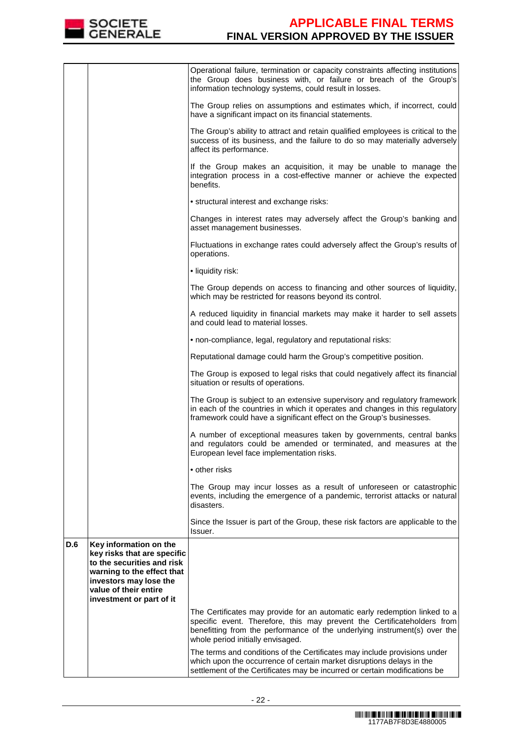

|     |                                                                                                                                                                                                  | Operational failure, termination or capacity constraints affecting institutions<br>the Group does business with, or failure or breach of the Group's<br>information technology systems, could result in losses.                                                         |
|-----|--------------------------------------------------------------------------------------------------------------------------------------------------------------------------------------------------|-------------------------------------------------------------------------------------------------------------------------------------------------------------------------------------------------------------------------------------------------------------------------|
|     |                                                                                                                                                                                                  | The Group relies on assumptions and estimates which, if incorrect, could<br>have a significant impact on its financial statements.                                                                                                                                      |
|     |                                                                                                                                                                                                  | The Group's ability to attract and retain qualified employees is critical to the<br>success of its business, and the failure to do so may materially adversely<br>affect its performance.                                                                               |
|     |                                                                                                                                                                                                  | If the Group makes an acquisition, it may be unable to manage the<br>integration process in a cost-effective manner or achieve the expected<br>benefits.                                                                                                                |
|     |                                                                                                                                                                                                  | • structural interest and exchange risks:                                                                                                                                                                                                                               |
|     |                                                                                                                                                                                                  | Changes in interest rates may adversely affect the Group's banking and<br>asset management businesses.                                                                                                                                                                  |
|     |                                                                                                                                                                                                  | Fluctuations in exchange rates could adversely affect the Group's results of<br>operations.                                                                                                                                                                             |
|     |                                                                                                                                                                                                  | • liquidity risk:                                                                                                                                                                                                                                                       |
|     |                                                                                                                                                                                                  | The Group depends on access to financing and other sources of liquidity,<br>which may be restricted for reasons beyond its control.                                                                                                                                     |
|     |                                                                                                                                                                                                  | A reduced liquidity in financial markets may make it harder to sell assets<br>and could lead to material losses.                                                                                                                                                        |
|     |                                                                                                                                                                                                  | • non-compliance, legal, regulatory and reputational risks:                                                                                                                                                                                                             |
|     |                                                                                                                                                                                                  | Reputational damage could harm the Group's competitive position.                                                                                                                                                                                                        |
|     |                                                                                                                                                                                                  | The Group is exposed to legal risks that could negatively affect its financial<br>situation or results of operations.                                                                                                                                                   |
|     |                                                                                                                                                                                                  | The Group is subject to an extensive supervisory and regulatory framework<br>in each of the countries in which it operates and changes in this regulatory<br>framework could have a significant effect on the Group's businesses.                                       |
|     |                                                                                                                                                                                                  | A number of exceptional measures taken by governments, central banks<br>and regulators could be amended or terminated, and measures at the<br>European level face implementation risks.                                                                                 |
|     |                                                                                                                                                                                                  | • other risks                                                                                                                                                                                                                                                           |
|     |                                                                                                                                                                                                  | The Group may incur losses as a result of unforeseen or catastrophic<br>events, including the emergence of a pandemic, terrorist attacks or natural<br>disasters.                                                                                                       |
|     |                                                                                                                                                                                                  | Since the Issuer is part of the Group, these risk factors are applicable to the<br>Issuer.                                                                                                                                                                              |
| D.6 | Key information on the<br>key risks that are specific<br>to the securities and risk<br>warning to the effect that<br>investors may lose the<br>value of their entire<br>investment or part of it |                                                                                                                                                                                                                                                                         |
|     |                                                                                                                                                                                                  | The Certificates may provide for an automatic early redemption linked to a<br>specific event. Therefore, this may prevent the Certificateholders from<br>benefitting from the performance of the underlying instrument(s) over the<br>whole period initially envisaged. |
|     |                                                                                                                                                                                                  | The terms and conditions of the Certificates may include provisions under<br>which upon the occurrence of certain market disruptions delays in the<br>settlement of the Certificates may be incurred or certain modifications be                                        |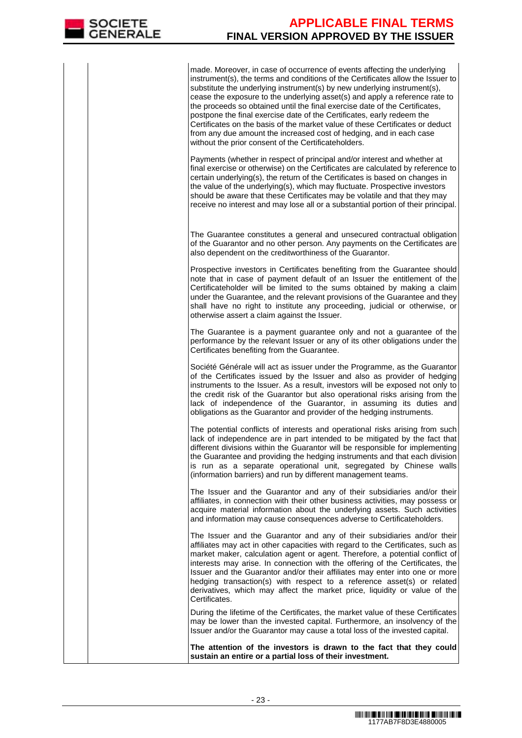made. Moreover, in case of occurrence of events affecting the underlying instrument(s), the terms and conditions of the Certificates allow the Issuer to substitute the underlying instrument(s) by new underlying instrument(s), cease the exposure to the underlying asset(s) and apply a reference rate to the proceeds so obtained until the final exercise date of the Certificates, postpone the final exercise date of the Certificates, early redeem the Certificates on the basis of the market value of these Certificates or deduct from any due amount the increased cost of hedging, and in each case without the prior consent of the Certificateholders.

Payments (whether in respect of principal and/or interest and whether at final exercise or otherwise) on the Certificates are calculated by reference to certain underlying(s), the return of the Certificates is based on changes in the value of the underlying(s), which may fluctuate. Prospective investors should be aware that these Certificates may be volatile and that they may receive no interest and may lose all or a substantial portion of their principal.

 The Guarantee constitutes a general and unsecured contractual obligation of the Guarantor and no other person. Any payments on the Certificates are also dependent on the creditworthiness of the Guarantor.

Prospective investors in Certificates benefiting from the Guarantee should note that in case of payment default of an Issuer the entitlement of the Certificateholder will be limited to the sums obtained by making a claim under the Guarantee, and the relevant provisions of the Guarantee and they shall have no right to institute any proceeding, judicial or otherwise, or otherwise assert a claim against the Issuer.

The Guarantee is a payment guarantee only and not a guarantee of the performance by the relevant Issuer or any of its other obligations under the Certificates benefiting from the Guarantee.

Société Générale will act as issuer under the Programme, as the Guarantor of the Certificates issued by the Issuer and also as provider of hedging instruments to the Issuer. As a result, investors will be exposed not only to the credit risk of the Guarantor but also operational risks arising from the lack of independence of the Guarantor, in assuming its duties and obligations as the Guarantor and provider of the hedging instruments.

The potential conflicts of interests and operational risks arising from such lack of independence are in part intended to be mitigated by the fact that different divisions within the Guarantor will be responsible for implementing the Guarantee and providing the hedging instruments and that each division is run as a separate operational unit, segregated by Chinese walls (information barriers) and run by different management teams.

The Issuer and the Guarantor and any of their subsidiaries and/or their affiliates, in connection with their other business activities, may possess or acquire material information about the underlying assets. Such activities and information may cause consequences adverse to Certificateholders.

The Issuer and the Guarantor and any of their subsidiaries and/or their affiliates may act in other capacities with regard to the Certificates, such as market maker, calculation agent or agent. Therefore, a potential conflict of interests may arise. In connection with the offering of the Certificates, the Issuer and the Guarantor and/or their affiliates may enter into one or more hedging transaction(s) with respect to a reference asset(s) or related derivatives, which may affect the market price, liquidity or value of the Certificates.

 During the lifetime of the Certificates, the market value of these Certificates may be lower than the invested capital. Furthermore, an insolvency of the Issuer and/or the Guarantor may cause a total loss of the invested capital.

**The attention of the investors is drawn to the fact that they could sustain an entire or a partial loss of their investment.**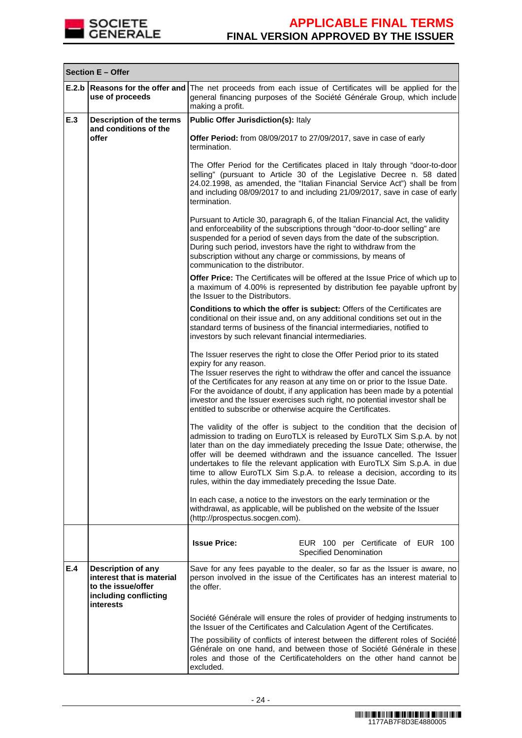

|       | Section E - Offer                                                                                                  |                                                                                                                                                                                                                                                                                                                                                                                                                                                                                                                                        |  |  |  |  |
|-------|--------------------------------------------------------------------------------------------------------------------|----------------------------------------------------------------------------------------------------------------------------------------------------------------------------------------------------------------------------------------------------------------------------------------------------------------------------------------------------------------------------------------------------------------------------------------------------------------------------------------------------------------------------------------|--|--|--|--|
| E.2.b | Reasons for the offer and<br>use of proceeds                                                                       | The net proceeds from each issue of Certificates will be applied for the<br>general financing purposes of the Société Générale Group, which include<br>making a profit.                                                                                                                                                                                                                                                                                                                                                                |  |  |  |  |
| E.3   | Description of the terms<br>and conditions of the                                                                  | <b>Public Offer Jurisdiction(s): Italy</b>                                                                                                                                                                                                                                                                                                                                                                                                                                                                                             |  |  |  |  |
|       | offer                                                                                                              | Offer Period: from 08/09/2017 to 27/09/2017, save in case of early<br>termination.                                                                                                                                                                                                                                                                                                                                                                                                                                                     |  |  |  |  |
|       |                                                                                                                    | The Offer Period for the Certificates placed in Italy through "door-to-door<br>selling" (pursuant to Article 30 of the Legislative Decree n. 58 dated<br>24.02.1998, as amended, the "Italian Financial Service Act") shall be from<br>and including 08/09/2017 to and including 21/09/2017, save in case of early<br>termination.                                                                                                                                                                                                     |  |  |  |  |
|       |                                                                                                                    | Pursuant to Article 30, paragraph 6, of the Italian Financial Act, the validity<br>and enforceability of the subscriptions through "door-to-door selling" are<br>suspended for a period of seven days from the date of the subscription.<br>During such period, investors have the right to withdraw from the<br>subscription without any charge or commissions, by means of<br>communication to the distributor.                                                                                                                      |  |  |  |  |
|       |                                                                                                                    | Offer Price: The Certificates will be offered at the Issue Price of which up to<br>a maximum of 4.00% is represented by distribution fee payable upfront by<br>the Issuer to the Distributors.                                                                                                                                                                                                                                                                                                                                         |  |  |  |  |
|       |                                                                                                                    | Conditions to which the offer is subject: Offers of the Certificates are<br>conditional on their issue and, on any additional conditions set out in the<br>standard terms of business of the financial intermediaries, notified to<br>investors by such relevant financial intermediaries.                                                                                                                                                                                                                                             |  |  |  |  |
|       |                                                                                                                    | The Issuer reserves the right to close the Offer Period prior to its stated<br>expiry for any reason.<br>The Issuer reserves the right to withdraw the offer and cancel the issuance<br>of the Certificates for any reason at any time on or prior to the Issue Date.<br>For the avoidance of doubt, if any application has been made by a potential<br>investor and the Issuer exercises such right, no potential investor shall be<br>entitled to subscribe or otherwise acquire the Certificates.                                   |  |  |  |  |
|       |                                                                                                                    | The validity of the offer is subject to the condition that the decision of<br>admission to trading on EuroTLX is released by EuroTLX Sim S.p.A. by not<br>later than on the day immediately preceding the Issue Date; otherwise, the<br>offer will be deemed withdrawn and the issuance cancelled. The Issuer<br>undertakes to file the relevant application with EuroTLX Sim S.p.A. in due<br>time to allow EuroTLX Sim S.p.A. to release a decision, according to its<br>rules, within the day immediately preceding the Issue Date. |  |  |  |  |
|       |                                                                                                                    | In each case, a notice to the investors on the early termination or the<br>withdrawal, as applicable, will be published on the website of the Issuer<br>(http://prospectus.socgen.com).                                                                                                                                                                                                                                                                                                                                                |  |  |  |  |
|       |                                                                                                                    | <b>Issue Price:</b><br>EUR 100 per Certificate of EUR 100<br><b>Specified Denomination</b>                                                                                                                                                                                                                                                                                                                                                                                                                                             |  |  |  |  |
| E.4   | <b>Description of any</b><br>interest that is material<br>to the issue/offer<br>including conflicting<br>interests | Save for any fees payable to the dealer, so far as the Issuer is aware, no<br>person involved in the issue of the Certificates has an interest material to<br>the offer.                                                                                                                                                                                                                                                                                                                                                               |  |  |  |  |
|       |                                                                                                                    | Société Générale will ensure the roles of provider of hedging instruments to<br>the Issuer of the Certificates and Calculation Agent of the Certificates.                                                                                                                                                                                                                                                                                                                                                                              |  |  |  |  |
|       |                                                                                                                    | The possibility of conflicts of interest between the different roles of Société<br>Générale on one hand, and between those of Société Générale in these<br>roles and those of the Certificateholders on the other hand cannot be<br>excluded.                                                                                                                                                                                                                                                                                          |  |  |  |  |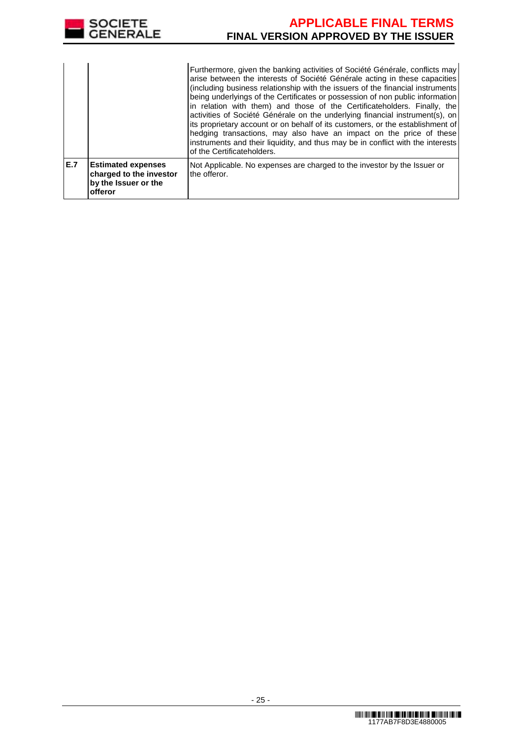

|     |                                                                                         | Furthermore, given the banking activities of Société Générale, conflicts may<br>arise between the interests of Société Générale acting in these capacities<br>(including business relationship with the issuers of the financial instruments<br>being underlyings of the Certificates or possession of non public information<br>in relation with them) and those of the Certificateholders. Finally, the<br>activities of Société Générale on the underlying financial instrument(s), on<br>its proprietary account or on behalf of its customers, or the establishment of<br>hedging transactions, may also have an impact on the price of these<br>instruments and their liquidity, and thus may be in conflict with the interests<br>of the Certificateholders. |
|-----|-----------------------------------------------------------------------------------------|---------------------------------------------------------------------------------------------------------------------------------------------------------------------------------------------------------------------------------------------------------------------------------------------------------------------------------------------------------------------------------------------------------------------------------------------------------------------------------------------------------------------------------------------------------------------------------------------------------------------------------------------------------------------------------------------------------------------------------------------------------------------|
| E.7 | <b>Estimated expenses</b><br>charged to the investor<br>by the Issuer or the<br>offeror | Not Applicable. No expenses are charged to the investor by the Issuer or<br>the offeror.                                                                                                                                                                                                                                                                                                                                                                                                                                                                                                                                                                                                                                                                            |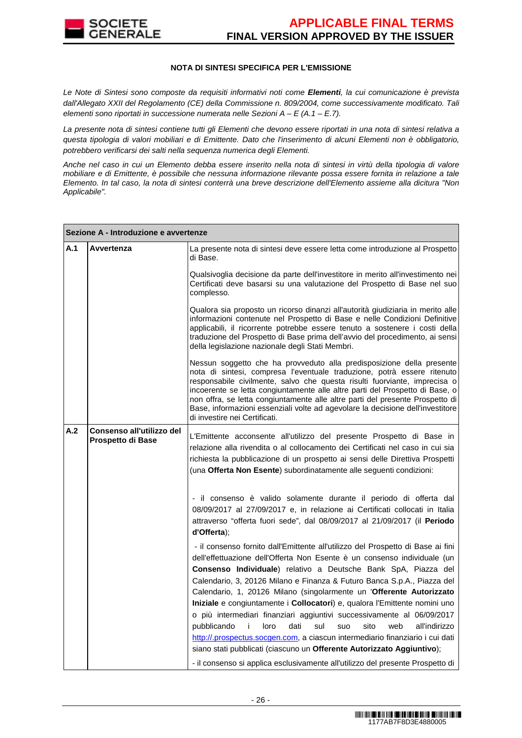

#### **NOTA DI SINTESI SPECIFICA PER L'EMISSIONE**

Le Note di Sintesi sono composte da requisiti informativi noti come **Elementi**, la cui comunicazione è prevista dall'Allegato XXII del Regolamento (CE) della Commissione n. 809/2004, come successivamente modificato. Tali elementi sono riportati in successione numerata nelle Sezioni  $A - E(A.1 - E.7)$ .

La presente nota di sintesi contiene tutti gli Elementi che devono essere riportati in una nota di sintesi relativa a questa tipologia di valori mobiliari e di Emittente. Dato che l'inserimento di alcuni Elementi non è obbligatorio, potrebbero verificarsi dei salti nella sequenza numerica degli Elementi.

Anche nel caso in cui un Elemento debba essere inserito nella nota di sintesi in virtù della tipologia di valore mobiliare e di Emittente, è possibile che nessuna informazione rilevante possa essere fornita in relazione a tale Elemento. In tal caso, la nota di sintesi conterrà una breve descrizione dell'Elemento assieme alla dicitura "Non Applicabile".

|     | Sezione A - Introduzione e avvertenze          |                                                                                                                                                                                                                                                                                                                                                                                                                                                                                                                                                                                                                                                                                                              |  |  |
|-----|------------------------------------------------|--------------------------------------------------------------------------------------------------------------------------------------------------------------------------------------------------------------------------------------------------------------------------------------------------------------------------------------------------------------------------------------------------------------------------------------------------------------------------------------------------------------------------------------------------------------------------------------------------------------------------------------------------------------------------------------------------------------|--|--|
| A.1 | Avvertenza                                     | La presente nota di sintesi deve essere letta come introduzione al Prospetto<br>di Base.                                                                                                                                                                                                                                                                                                                                                                                                                                                                                                                                                                                                                     |  |  |
|     |                                                | Qualsivoglia decisione da parte dell'investitore in merito all'investimento nei<br>Certificati deve basarsi su una valutazione del Prospetto di Base nel suo<br>complesso.                                                                                                                                                                                                                                                                                                                                                                                                                                                                                                                                   |  |  |
|     |                                                | Qualora sia proposto un ricorso dinanzi all'autorità giudiziaria in merito alle<br>informazioni contenute nel Prospetto di Base e nelle Condizioni Definitive<br>applicabili, il ricorrente potrebbe essere tenuto a sostenere i costi della<br>traduzione del Prospetto di Base prima dell'avvio del procedimento, ai sensi<br>della legislazione nazionale degli Stati Membri.                                                                                                                                                                                                                                                                                                                             |  |  |
|     |                                                | Nessun soggetto che ha provveduto alla predisposizione della presente<br>nota di sintesi, compresa l'eventuale traduzione, potrà essere ritenuto<br>responsabile civilmente, salvo che questa risulti fuorviante, imprecisa o<br>incoerente se letta congiuntamente alle altre parti del Prospetto di Base, o<br>non offra, se letta congiuntamente alle altre parti del presente Prospetto di<br>Base, informazioni essenziali volte ad agevolare la decisione dell'investitore<br>di investire nei Certificati.                                                                                                                                                                                            |  |  |
| A.2 | Consenso all'utilizzo del<br>Prospetto di Base | L'Emittente acconsente all'utilizzo del presente Prospetto di Base in<br>relazione alla rivendita o al collocamento dei Certificati nel caso in cui sia<br>richiesta la pubblicazione di un prospetto ai sensi delle Direttiva Prospetti<br>(una Offerta Non Esente) subordinatamente alle seguenti condizioni:                                                                                                                                                                                                                                                                                                                                                                                              |  |  |
|     |                                                | - il consenso è valido solamente durante il periodo di offerta dal<br>08/09/2017 al 27/09/2017 e, in relazione ai Certificati collocati in Italia<br>attraverso "offerta fuori sede", dal 08/09/2017 al 21/09/2017 (il Periodo<br>d'Offerta);                                                                                                                                                                                                                                                                                                                                                                                                                                                                |  |  |
|     |                                                | - il consenso fornito dall'Emittente all'utilizzo del Prospetto di Base ai fini<br>dell'effettuazione dell'Offerta Non Esente è un consenso individuale (un<br>Consenso Individuale) relativo a Deutsche Bank SpA, Piazza del<br>Calendario, 3, 20126 Milano e Finanza & Futuro Banca S.p.A., Piazza del<br>Calendario, 1, 20126 Milano (singolarmente un 'Offerente Autorizzato<br>Iniziale e congiuntamente i Collocatori) e, qualora l'Emittente nomini uno<br>o più intermediari finanziari aggiuntivi successivamente al 06/09/2017<br>pubblicando<br>i.<br>loro<br>dati<br>sul<br>sito<br>all'indirizzo<br>suo<br>web<br>http://.prospectus.socgen.com, a ciascun intermediario finanziario i cui dati |  |  |
|     |                                                | siano stati pubblicati (ciascuno un Offerente Autorizzato Aggiuntivo);                                                                                                                                                                                                                                                                                                                                                                                                                                                                                                                                                                                                                                       |  |  |
|     |                                                | - il consenso si applica esclusivamente all'utilizzo del presente Prospetto di                                                                                                                                                                                                                                                                                                                                                                                                                                                                                                                                                                                                                               |  |  |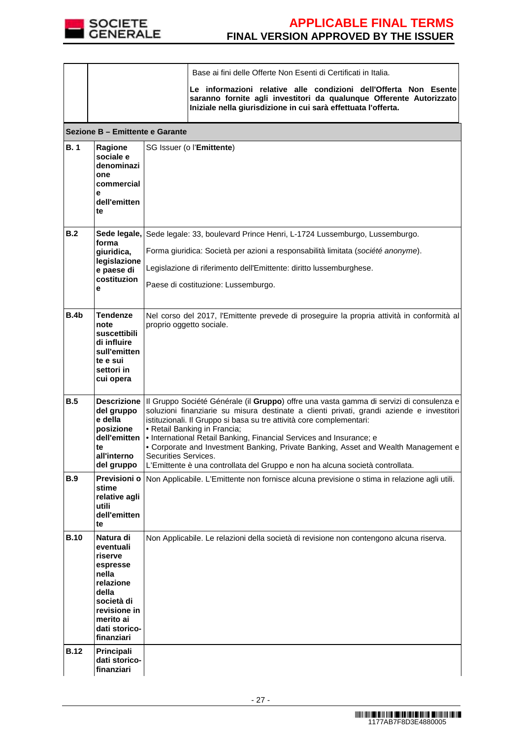

|             |                                                                                                                                                        | Base ai fini delle Offerte Non Esenti di Certificati in Italia.<br>Le informazioni relative alle condizioni dell'Offerta Non Esente<br>saranno fornite agli investitori da qualunque Offerente Autorizzato<br>Iniziale nella giurisdizione in cui sarà effettuata l'offerta.                                                                                                                                                                                                                                                                                                     |
|-------------|--------------------------------------------------------------------------------------------------------------------------------------------------------|----------------------------------------------------------------------------------------------------------------------------------------------------------------------------------------------------------------------------------------------------------------------------------------------------------------------------------------------------------------------------------------------------------------------------------------------------------------------------------------------------------------------------------------------------------------------------------|
|             | Sezione B - Emittente e Garante                                                                                                                        |                                                                                                                                                                                                                                                                                                                                                                                                                                                                                                                                                                                  |
| <b>B.1</b>  | Ragione<br>sociale e<br>denominazi<br>one<br>commercial<br>е<br>dell'emitten<br>te                                                                     | SG Issuer (o l'Emittente)                                                                                                                                                                                                                                                                                                                                                                                                                                                                                                                                                        |
| B.2         | forma<br>giuridica,<br>legislazione<br>e paese di<br>costituzion<br>е                                                                                  | Sede legale, Sede legale: 33, boulevard Prince Henri, L-1724 Lussemburgo, Lussemburgo.<br>Forma giuridica: Società per azioni a responsabilità limitata (société anonyme).<br>Legislazione di riferimento dell'Emittente: diritto lussemburghese.<br>Paese di costituzione: Lussemburgo.                                                                                                                                                                                                                                                                                         |
| B.4b        | <b>Tendenze</b><br>note<br>suscettibili<br>di influire<br>sull'emitten<br>te e sui<br>settori in<br>cui opera                                          | Nel corso del 2017, l'Emittente prevede di proseguire la propria attività in conformità al<br>proprio oggetto sociale.                                                                                                                                                                                                                                                                                                                                                                                                                                                           |
| B.5         | del gruppo<br>e della<br>posizione<br>dell'emitten<br>te<br>all'interno<br>del gruppo                                                                  | Descrizione   Il Gruppo Société Générale (il Gruppo) offre una vasta gamma di servizi di consulenza e<br>soluzioni finanziarie su misura destinate a clienti privati, grandi aziende e investitori<br>istituzionali. Il Gruppo si basa su tre attività core complementari:<br>• Retail Banking in Francia;<br>• International Retail Banking, Financial Services and Insurance; e<br>• Corporate and Investment Banking, Private Banking, Asset and Wealth Management e<br>Securities Services.<br>L'Emittente è una controllata del Gruppo e non ha alcuna società controllata. |
| <b>B.9</b>  | Previsioni o<br>stime<br>relative agli<br>utili<br>dell'emitten<br>te                                                                                  | Non Applicabile. L'Emittente non fornisce alcuna previsione o stima in relazione agli utili.                                                                                                                                                                                                                                                                                                                                                                                                                                                                                     |
| <b>B.10</b> | Natura di<br>eventuali<br>riserve<br>espresse<br>nella<br>relazione<br>della<br>società di<br>revisione in<br>merito ai<br>dati storico-<br>finanziari | Non Applicabile. Le relazioni della società di revisione non contengono alcuna riserva.                                                                                                                                                                                                                                                                                                                                                                                                                                                                                          |
| <b>B.12</b> | Principali<br>dati storico-<br>finanziari                                                                                                              |                                                                                                                                                                                                                                                                                                                                                                                                                                                                                                                                                                                  |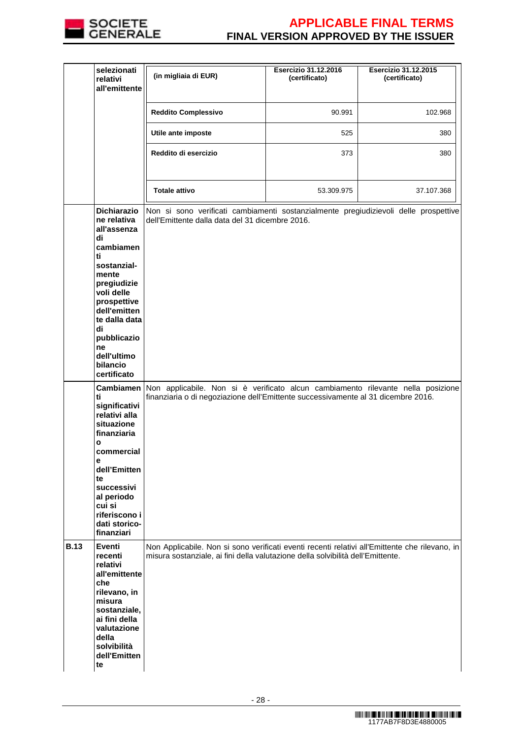

|             | selezionati<br>relativi<br>all'emittente                                                                                                                                                        | (in migliaia di EUR)                                                                                                                                                              | <b>Esercizio 31.12.2016</b><br>(certificato) | <b>Esercizio 31.12.2015</b><br>(certificato) |
|-------------|-------------------------------------------------------------------------------------------------------------------------------------------------------------------------------------------------|-----------------------------------------------------------------------------------------------------------------------------------------------------------------------------------|----------------------------------------------|----------------------------------------------|
|             |                                                                                                                                                                                                 | <b>Reddito Complessivo</b>                                                                                                                                                        | 90.991                                       | 102.968                                      |
|             |                                                                                                                                                                                                 | Utile ante imposte                                                                                                                                                                | 525                                          | 380                                          |
|             |                                                                                                                                                                                                 | Reddito di esercizio                                                                                                                                                              | 373                                          | 380                                          |
|             |                                                                                                                                                                                                 | <b>Totale attivo</b>                                                                                                                                                              | 53.309.975                                   | 37.107.368                                   |
|             | <b>Dichiarazio</b><br>ne relativa<br>all'assenza                                                                                                                                                | Non si sono verificati cambiamenti sostanzialmente pregiudizievoli delle prospettive<br>dell'Emittente dalla data del 31 dicembre 2016.                                           |                                              |                                              |
|             | di<br>cambiamen<br>ti<br>sostanzial-<br>mente<br>pregiudizie<br>voli delle<br>prospettive<br>dell'emitten<br>te dalla data<br>di<br>pubblicazio<br>ne<br>dell'ultimo<br>bilancio<br>certificato |                                                                                                                                                                                   |                                              |                                              |
|             | <b>Cambiamen</b><br>ti<br>significativi<br>relativi alla<br>situazione<br>finanziaria                                                                                                           | Non applicabile. Non si è verificato alcun cambiamento rilevante nella posizione<br>finanziaria o di negoziazione dell'Emittente successivamente al 31 dicembre 2016.             |                                              |                                              |
|             | $\mathbf{o}$<br>commercial<br>е<br>dell'Emitten<br>te<br>successivi<br>al periodo<br>cui si<br>riferiscono i<br>dati storico-<br>finanziari                                                     |                                                                                                                                                                                   |                                              |                                              |
| <b>B.13</b> | Eventi<br>recenti<br>relativi<br>all'emittente<br>che<br>rilevano, in<br>misura<br>sostanziale,<br>ai fini della<br>valutazione<br>della<br>solvibilità<br>dell'Emitten<br>te                   | Non Applicabile. Non si sono verificati eventi recenti relativi all'Emittente che rilevano, in<br>misura sostanziale, ai fini della valutazione della solvibilità dell'Emittente. |                                              |                                              |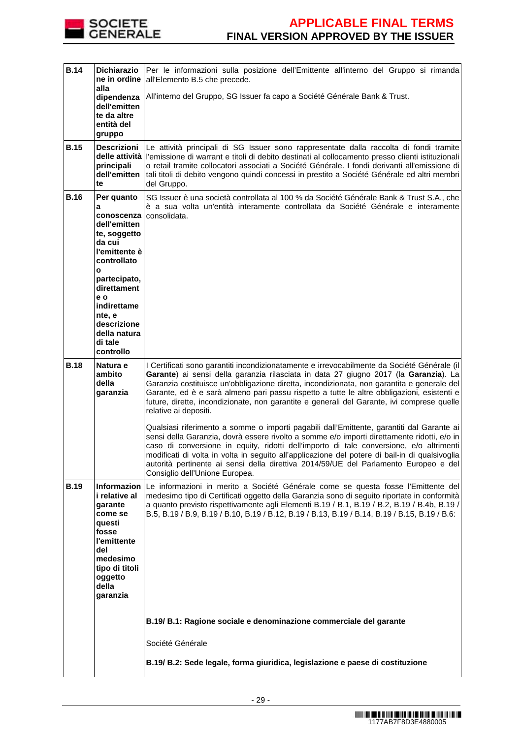

| <b>B.14</b> | <b>Dichiarazio</b><br>ne in ordine<br>alla                                                                                                                                                                                         | Per le informazioni sulla posizione dell'Emittente all'interno del Gruppo si rimanda<br>all'Elemento B.5 che precede.                                                                                                                                                                                                                                                                                                                                                                                                                                                                                                                                                                                                                                                                                                                                                                                                                                                                                                     |
|-------------|------------------------------------------------------------------------------------------------------------------------------------------------------------------------------------------------------------------------------------|---------------------------------------------------------------------------------------------------------------------------------------------------------------------------------------------------------------------------------------------------------------------------------------------------------------------------------------------------------------------------------------------------------------------------------------------------------------------------------------------------------------------------------------------------------------------------------------------------------------------------------------------------------------------------------------------------------------------------------------------------------------------------------------------------------------------------------------------------------------------------------------------------------------------------------------------------------------------------------------------------------------------------|
|             | dipendenza<br>dell'emitten<br>te da altre<br>entità del<br>gruppo                                                                                                                                                                  | All'interno del Gruppo, SG Issuer fa capo a Société Générale Bank & Trust.                                                                                                                                                                                                                                                                                                                                                                                                                                                                                                                                                                                                                                                                                                                                                                                                                                                                                                                                                |
| <b>B.15</b> | Descrizioni<br>principali<br>dell'emitten<br>te                                                                                                                                                                                    | Le attività principali di SG Issuer sono rappresentate dalla raccolta di fondi tramite<br>delle attività l'emissione di warrant e titoli di debito destinati al collocamento presso clienti istituzionali<br>o retail tramite collocatori associati a Société Générale. I fondi derivanti all'emissione di<br>tali titoli di debito vengono quindi concessi in prestito a Société Générale ed altri membri<br>del Gruppo.                                                                                                                                                                                                                                                                                                                                                                                                                                                                                                                                                                                                 |
| <b>B.16</b> | Per quanto<br>а<br>conoscenza<br>dell'emitten<br>te, soggetto<br>da cui<br>l'emittente è<br>controllato<br>O<br>partecipato,<br>direttament<br>e o<br>indirettame<br>nte, e<br>descrizione<br>della natura<br>di tale<br>controllo | SG Issuer è una società controllata al 100 % da Société Générale Bank & Trust S.A., che<br>è a sua volta un'entità interamente controllata da Société Générale e interamente<br>consolidata.                                                                                                                                                                                                                                                                                                                                                                                                                                                                                                                                                                                                                                                                                                                                                                                                                              |
| <b>B.18</b> | Natura e<br>ambito<br>della<br>garanzia                                                                                                                                                                                            | I Certificati sono garantiti incondizionatamente e irrevocabilmente da Société Générale (il<br>Garante) ai sensi della garanzia rilasciata in data 27 giugno 2017 (la Garanzia). La<br>Garanzia costituisce un'obbligazione diretta, incondizionata, non garantita e generale del<br>Garante, ed è e sarà almeno pari passu rispetto a tutte le altre obbligazioni, esistenti e<br>future, dirette, incondizionate, non garantite e generali del Garante, ivi comprese quelle<br>relative ai depositi.<br>Qualsiasi riferimento a somme o importi pagabili dall'Emittente, garantiti dal Garante ai<br>sensi della Garanzia, dovrà essere rivolto a somme e/o importi direttamente ridotti, e/o in<br>caso di conversione in equity, ridotti dell'importo di tale conversione, e/o altrimenti<br>modificati di volta in volta in seguito all'applicazione del potere di bail-in di qualsivoglia<br>autorità pertinente ai sensi della direttiva 2014/59/UE del Parlamento Europeo e del<br>Consiglio dell'Unione Europea. |
| <b>B.19</b> | i relative al<br>garante<br>come se<br>questi<br>fosse<br>l'emittente<br>del<br>medesimo<br>tipo di titoli<br>oggetto<br>della<br>garanzia                                                                                         | Informazion Le informazioni in merito a Société Générale come se questa fosse l'Emittente del<br>medesimo tipo di Certificati oggetto della Garanzia sono di seguito riportate in conformità<br>a quanto previsto rispettivamente agli Elementi B.19 / B.1, B.19 / B.2, B.19 / B.4b, B.19 /<br>B.5, B.19 / B.9, B.19 / B.10, B.19 / B.12, B.19 / B.13, B.19 / B.14, B.19 / B.15, B.19 / B.6:                                                                                                                                                                                                                                                                                                                                                                                                                                                                                                                                                                                                                              |
|             |                                                                                                                                                                                                                                    | B.19/ B.1: Ragione sociale e denominazione commerciale del garante                                                                                                                                                                                                                                                                                                                                                                                                                                                                                                                                                                                                                                                                                                                                                                                                                                                                                                                                                        |
|             |                                                                                                                                                                                                                                    | Société Générale<br>B.19/ B.2: Sede legale, forma giuridica, legislazione e paese di costituzione                                                                                                                                                                                                                                                                                                                                                                                                                                                                                                                                                                                                                                                                                                                                                                                                                                                                                                                         |
|             |                                                                                                                                                                                                                                    |                                                                                                                                                                                                                                                                                                                                                                                                                                                                                                                                                                                                                                                                                                                                                                                                                                                                                                                                                                                                                           |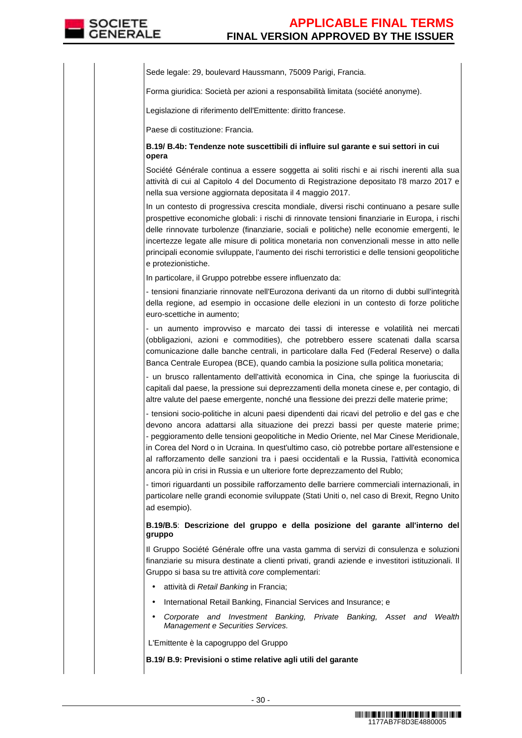Sede legale: 29, boulevard Haussmann, 75009 Parigi, Francia.

Forma giuridica: Società per azioni a responsabilità limitata (société anonyme).

Legislazione di riferimento dell'Emittente: diritto francese.

Paese di costituzione: Francia.

## **B.19/ B.4b: Tendenze note suscettibili di influire sul garante e sui settori in cui opera**

Société Générale continua a essere soggetta ai soliti rischi e ai rischi inerenti alla sua attività di cui al Capitolo 4 del Documento di Registrazione depositato l'8 marzo 2017 e nella sua versione aggiornata depositata il 4 maggio 2017.

In un contesto di progressiva crescita mondiale, diversi rischi continuano a pesare sulle prospettive economiche globali: i rischi di rinnovate tensioni finanziarie in Europa, i rischi delle rinnovate turbolenze (finanziarie, sociali e politiche) nelle economie emergenti, le incertezze legate alle misure di politica monetaria non convenzionali messe in atto nelle principali economie sviluppate, l'aumento dei rischi terroristici e delle tensioni geopolitiche e protezionistiche.

In particolare, il Gruppo potrebbe essere influenzato da:

- tensioni finanziarie rinnovate nell'Eurozona derivanti da un ritorno di dubbi sull'integrità della regione, ad esempio in occasione delle elezioni in un contesto di forze politiche euro-scettiche in aumento;

- un aumento improvviso e marcato dei tassi di interesse e volatilità nei mercati (obbligazioni, azioni e commodities), che potrebbero essere scatenati dalla scarsa comunicazione dalle banche centrali, in particolare dalla Fed (Federal Reserve) o dalla Banca Centrale Europea (BCE), quando cambia la posizione sulla politica monetaria;

- un brusco rallentamento dell'attività economica in Cina, che spinge la fuoriuscita di capitali dal paese, la pressione sui deprezzamenti della moneta cinese e, per contagio, di altre valute del paese emergente, nonché una flessione dei prezzi delle materie prime;

- tensioni socio-politiche in alcuni paesi dipendenti dai ricavi del petrolio e del gas e che devono ancora adattarsi alla situazione dei prezzi bassi per queste materie prime; - peggioramento delle tensioni geopolitiche in Medio Oriente, nel Mar Cinese Meridionale, in Corea del Nord o in Ucraina. In quest'ultimo caso, ciò potrebbe portare all'estensione e al rafforzamento delle sanzioni tra i paesi occidentali e la Russia, l'attività economica ancora più in crisi in Russia e un ulteriore forte deprezzamento del Rublo;

- timori riguardanti un possibile rafforzamento delle barriere commerciali internazionali, in particolare nelle grandi economie sviluppate (Stati Uniti o, nel caso di Brexit, Regno Unito ad esempio).

## **B.19/B.5**: **Descrizione del gruppo e della posizione del garante all'interno del gruppo**

Il Gruppo Société Générale offre una vasta gamma di servizi di consulenza e soluzioni finanziarie su misura destinate a clienti privati, grandi aziende e investitori istituzionali. Il Gruppo si basa su tre attività core complementari:

- attività di Retail Banking in Francia;
- International Retail Banking, Financial Services and Insurance; e
- Corporate and Investment Banking, Private Banking, Asset and Wealth Management e Securities Services.

L'Emittente è la capogruppo del Gruppo

**B.19/ B.9: Previsioni o stime relative agli utili del garante**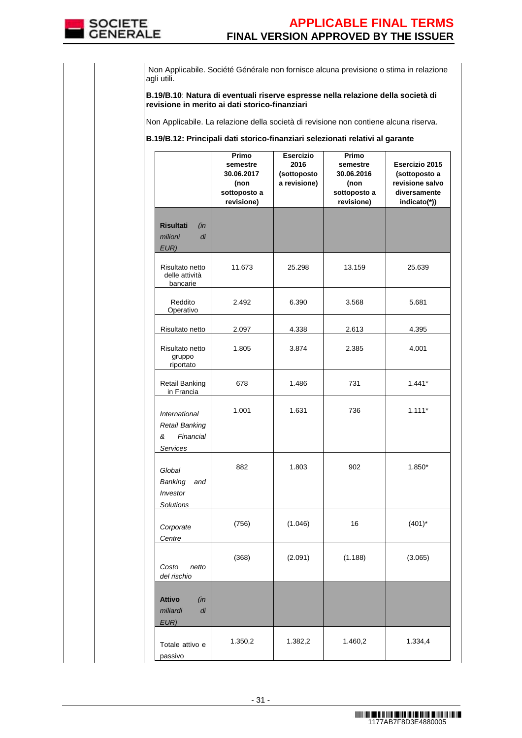

 Non Applicabile. Société Générale non fornisce alcuna previsione o stima in relazione agli utili.

**B.19/B.10**: **Natura di eventuali riserve espresse nella relazione della società di revisione in merito ai dati storico-finanziari**

Non Applicabile. La relazione della società di revisione non contiene alcuna riserva.

### **B.19/B.12: Principali dati storico-finanziari selezionati relativi al garante**

|                                                                      | Primo<br>semestre<br>30.06.2017<br>(non<br>sottoposto a<br>revisione) | <b>Esercizio</b><br>2016<br>(sottoposto<br>a revisione) | Primo<br>semestre<br>30.06.2016<br>(non<br>sottoposto a<br>revisione) | Esercizio 2015<br>(sottoposto a<br>revisione salvo<br>diversamente<br>indicato(*)) |
|----------------------------------------------------------------------|-----------------------------------------------------------------------|---------------------------------------------------------|-----------------------------------------------------------------------|------------------------------------------------------------------------------------|
| <b>Risultati</b><br>(in<br>di<br>milioni<br>EUR)                     |                                                                       |                                                         |                                                                       |                                                                                    |
| Risultato netto<br>delle attività<br>bancarie                        | 11.673                                                                | 25.298                                                  | 13.159                                                                | 25.639                                                                             |
| Reddito<br>Operativo                                                 | 2.492                                                                 | 6.390                                                   | 3.568                                                                 | 5.681                                                                              |
| Risultato netto                                                      | 2.097                                                                 | 4.338                                                   | 2.613                                                                 | 4.395                                                                              |
| Risultato netto<br>gruppo<br>riportato                               | 1.805                                                                 | 3.874                                                   | 2.385                                                                 | 4.001                                                                              |
| <b>Retail Banking</b><br>in Francia                                  | 678                                                                   | 1.486                                                   | 731                                                                   | $1.441*$                                                                           |
| International<br><b>Retail Banking</b><br>&<br>Financial<br>Services | 1.001                                                                 | 1.631                                                   | 736                                                                   | $1.111*$                                                                           |
| Global<br>Banking<br>and<br>Investor<br>Solutions                    | 882                                                                   | 1.803                                                   | 902                                                                   | 1.850*                                                                             |
| Corporate<br>Centre                                                  | (756)                                                                 | (1.046)                                                 | 16                                                                    | $(401)^*$                                                                          |
| Costo<br>netto<br>del rischio                                        | (368)                                                                 | (2.091)                                                 | (1.188)                                                               | (3.065)                                                                            |
| <b>Attivo</b><br>(in<br>miliardi<br>di<br>EUR)                       |                                                                       |                                                         |                                                                       |                                                                                    |
| Totale attivo e<br>passivo                                           | 1.350,2                                                               | 1.382,2                                                 | 1.460,2                                                               | 1.334,4                                                                            |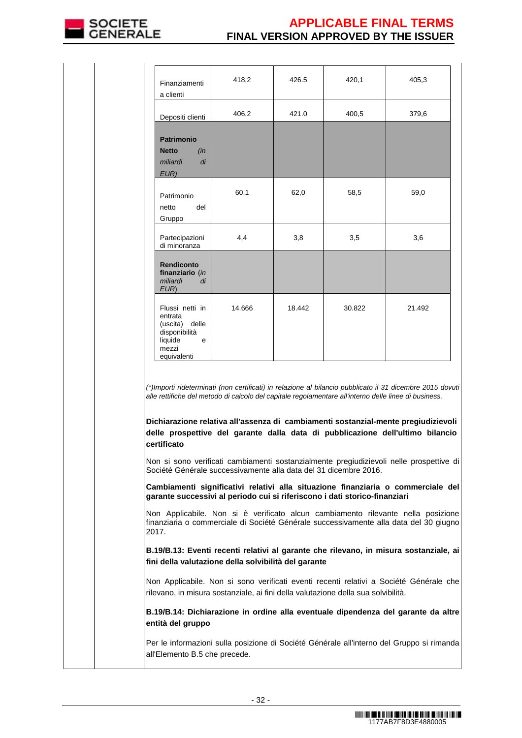

| Finanziamenti<br>a clienti                                                                            | 418,2                                                            | 426.5  | 420,1                                                                                                 | 405,3                                                                                                                                                                                                                                                                                                                                                                        |
|-------------------------------------------------------------------------------------------------------|------------------------------------------------------------------|--------|-------------------------------------------------------------------------------------------------------|------------------------------------------------------------------------------------------------------------------------------------------------------------------------------------------------------------------------------------------------------------------------------------------------------------------------------------------------------------------------------|
| Depositi clienti                                                                                      | 406,2                                                            | 421.0  | 400,5                                                                                                 | 379,6                                                                                                                                                                                                                                                                                                                                                                        |
| <b>Patrimonio</b><br><b>Netto</b><br>(in<br>miliardi<br>di<br>EUR)                                    |                                                                  |        |                                                                                                       |                                                                                                                                                                                                                                                                                                                                                                              |
| Patrimonio<br>del<br>netto<br>Gruppo                                                                  | 60,1                                                             | 62,0   | 58,5                                                                                                  | 59,0                                                                                                                                                                                                                                                                                                                                                                         |
| Partecipazioni<br>di minoranza                                                                        | 4,4                                                              | 3,8    | 3,5                                                                                                   | 3,6                                                                                                                                                                                                                                                                                                                                                                          |
| <b>Rendiconto</b><br>finanziario (in<br>miliardi<br>di<br>EUR)                                        |                                                                  |        |                                                                                                       |                                                                                                                                                                                                                                                                                                                                                                              |
| Flussi netti in<br>entrata<br>(uscita) delle<br>disponibilità<br>liquide<br>e<br>mezzi<br>equivalenti | 14.666                                                           | 18.442 | 30.822                                                                                                | 21.492                                                                                                                                                                                                                                                                                                                                                                       |
| certificato                                                                                           | Société Générale successivamente alla data del 31 dicembre 2016. |        | alle rettifiche del metodo di calcolo del capitale regolamentare all'interno delle linee di business. | (*)Importi rideterminati (non certificati) in relazione al bilancio pubblicato il 31 dicembre 2015 dovuti<br>Dichiarazione relativa all'assenza di cambiamenti sostanzial-mente pregiudizievoli<br>delle prospettive del garante dalla data di pubblicazione dell'ultimo bilancio<br>Non si sono verificati cambiamenti sostanzialmente pregiudizievoli nelle prospettive di |
| garante successivi al periodo cui si riferiscono i dati storico-finanziari                            |                                                                  |        |                                                                                                       | Cambiamenti significativi relativi alla situazione finanziaria o commerciale del                                                                                                                                                                                                                                                                                             |
| 2017.                                                                                                 |                                                                  |        |                                                                                                       | Non Applicabile. Non si è verificato alcun cambiamento rilevante nella posizione<br>finanziaria o commerciale di Société Générale successivamente alla data del 30 giugno                                                                                                                                                                                                    |
| fini della valutazione della solvibilità del garante                                                  |                                                                  |        |                                                                                                       | B.19/B.13: Eventi recenti relativi al garante che rilevano, in misura sostanziale, ai                                                                                                                                                                                                                                                                                        |
|                                                                                                       |                                                                  |        | rilevano, in misura sostanziale, ai fini della valutazione della sua solvibilità.                     | Non Applicabile. Non si sono verificati eventi recenti relativi a Société Générale che                                                                                                                                                                                                                                                                                       |
|                                                                                                       |                                                                  |        |                                                                                                       |                                                                                                                                                                                                                                                                                                                                                                              |

**B.19/B.14: Dichiarazione in ordine alla eventuale dipendenza del garante da altre entità del gruppo**

Per le informazioni sulla posizione di Société Générale all'interno del Gruppo si rimanda all'Elemento B.5 che precede.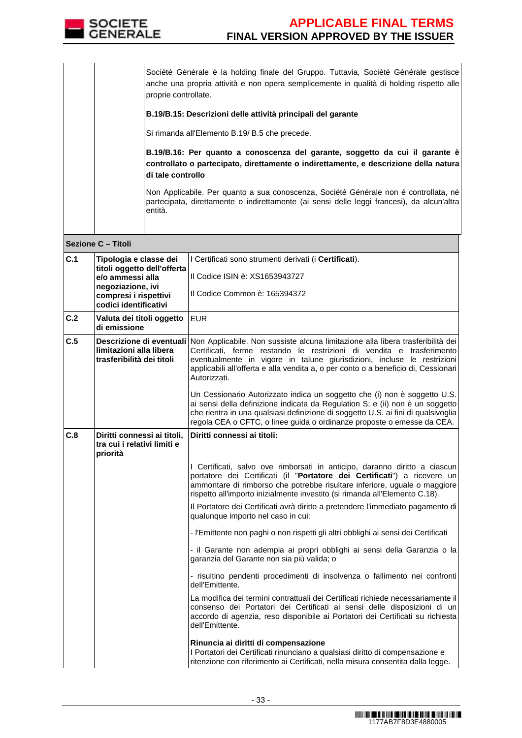

Société Générale è la holding finale del Gruppo. Tuttavia, Société Générale gestisce anche una propria attività e non opera semplicemente in qualità di holding rispetto alle proprie controllate.

## **B.19/B.15: Descrizioni delle attività principali del garante**

Si rimanda all'Elemento B.19/ B.5 che precede.

**B.19/B.16: Per quanto a conoscenza del garante, soggetto da cui il garante è controllato o partecipato, direttamente o indirettamente, e descrizione della natura di tale controllo**

Non Applicabile. Per quanto a sua conoscenza, Société Générale non é controllata, né partecipata, direttamente o indirettamente (ai sensi delle leggi francesi), da alcun'altra entità.

|     | Sezione C - Titoli                                                                                                                               |                                                                                                                                                                                                                                                                                                                                                                                                                                                 |
|-----|--------------------------------------------------------------------------------------------------------------------------------------------------|-------------------------------------------------------------------------------------------------------------------------------------------------------------------------------------------------------------------------------------------------------------------------------------------------------------------------------------------------------------------------------------------------------------------------------------------------|
| C.1 | Tipologia e classe dei<br>titoli oggetto dell'offerta<br>e/o ammessi alla<br>negoziazione, ivi<br>compresi i rispettivi<br>codici identificativi | I Certificati sono strumenti derivati (i Certificati).<br>Il Codice ISIN è: XS1653943727<br>Il Codice Common è: 165394372                                                                                                                                                                                                                                                                                                                       |
| C.2 | Valuta dei titoli oggetto<br>di emissione                                                                                                        | <b>EUR</b>                                                                                                                                                                                                                                                                                                                                                                                                                                      |
| C.5 | limitazioni alla libera<br>trasferibilità dei titoli                                                                                             | Descrizione di eventuali Non Applicabile. Non sussiste alcuna limitazione alla libera trasferibilità dei<br>Certificati, ferme restando le restrizioni di vendita e trasferimento<br>eventualmente in vigore in talune giurisdizioni, incluse le restrizioni<br>applicabili all'offerta e alla vendita a, o per conto o a beneficio di, Cessionari<br>Autorizzati.<br>Un Cessionario Autorizzato indica un soggetto che (i) non è soggetto U.S. |
|     |                                                                                                                                                  | ai sensi della definizione indicata da Regulation S; e (ii) non è un soggetto<br>che rientra in una qualsiasi definizione di soggetto U.S. ai fini di qualsivoglia<br>regola CEA o CFTC, o linee guida o ordinanze proposte o emesse da CEA.                                                                                                                                                                                                    |
| C.8 | Diritti connessi ai titoli,<br>tra cui i relativi limiti e<br>priorità                                                                           | Diritti connessi ai titoli:                                                                                                                                                                                                                                                                                                                                                                                                                     |
|     |                                                                                                                                                  | I Certificati, salvo ove rimborsati in anticipo, daranno diritto a ciascun<br>portatore dei Certificati (il "Portatore dei Certificati") a ricevere un<br>ammontare di rimborso che potrebbe risultare inferiore, uguale o maggiore<br>rispetto all'importo inizialmente investito (si rimanda all'Elemento C.18).                                                                                                                              |
|     |                                                                                                                                                  | Il Portatore dei Certificati avrà diritto a pretendere l'immediato pagamento di<br>qualunque importo nel caso in cui:                                                                                                                                                                                                                                                                                                                           |
|     |                                                                                                                                                  | - l'Emittente non paghi o non rispetti gli altri obblighi ai sensi dei Certificati                                                                                                                                                                                                                                                                                                                                                              |
|     |                                                                                                                                                  | - il Garante non adempia ai propri obblighi ai sensi della Garanzia o la<br>garanzia del Garante non sia più valida; o                                                                                                                                                                                                                                                                                                                          |
|     |                                                                                                                                                  | - risultino pendenti procedimenti di insolvenza o fallimento nei confronti<br>dell'Emittente.                                                                                                                                                                                                                                                                                                                                                   |
|     |                                                                                                                                                  | La modifica dei termini contrattuali dei Certificati richiede necessariamente il<br>consenso dei Portatori dei Certificati ai sensi delle disposizioni di un<br>accordo di agenzia, reso disponibile ai Portatori dei Certificati su richiesta<br>dell'Emittente.                                                                                                                                                                               |
|     |                                                                                                                                                  | Rinuncia ai diritti di compensazione<br>I Portatori dei Certificati rinunciano a qualsiasi diritto di compensazione e<br>ritenzione con riferimento ai Certificati, nella misura consentita dalla legge.                                                                                                                                                                                                                                        |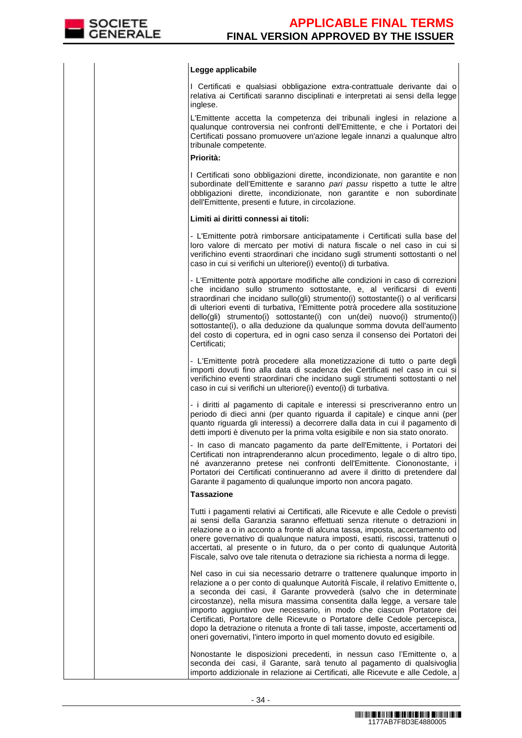### **Legge applicabile**

I Certificati e qualsiasi obbligazione extra-contrattuale derivante dai o relativa ai Certificati saranno disciplinati e interpretati ai sensi della legge inglese.

 L'Emittente accetta la competenza dei tribunali inglesi in relazione a qualunque controversia nei confronti dell'Emittente, e che i Portatori dei Certificati possano promuovere un'azione legale innanzi a qualunque altro tribunale competente.

# **Priorità:**

I Certificati sono obbligazioni dirette, incondizionate, non garantite e non subordinate dell'Emittente e saranno pari passu rispetto a tutte le altre obbligazioni dirette, incondizionate, non garantite e non subordinate dell'Emittente, presenti e future, in circolazione.

#### **Limiti ai diritti connessi ai titoli:**

- L'Emittente potrà rimborsare anticipatamente i Certificati sulla base del loro valore di mercato per motivi di natura fiscale o nel caso in cui si verifichino eventi straordinari che incidano sugli strumenti sottostanti o nel caso in cui si verifichi un ulteriore(i) evento(i) di turbativa.

- L'Emittente potrà apportare modifiche alle condizioni in caso di correzioni che incidano sullo strumento sottostante, e, al verificarsi di eventi straordinari che incidano sullo(gli) strumento(i) sottostante(i) o al verificarsi di ulteriori eventi di turbativa, l'Emittente potrà procedere alla sostituzione dello(gli) strumento(i) sottostante(i) con un(dei) nuovo(i) strumento(i) sottostante(i), o alla deduzione da qualunque somma dovuta dell'aumento del costo di copertura, ed in ogni caso senza il consenso dei Portatori dei Certificati;

- L'Emittente potrà procedere alla monetizzazione di tutto o parte degli importi dovuti fino alla data di scadenza dei Certificati nel caso in cui si verifichino eventi straordinari che incidano sugli strumenti sottostanti o nel caso in cui si verifichi un ulteriore(i) evento(i) di turbativa.

- i diritti al pagamento di capitale e interessi si prescriveranno entro un periodo di dieci anni (per quanto riguarda il capitale) e cinque anni (per quanto riguarda gli interessi) a decorrere dalla data in cui il pagamento di detti importi è divenuto per la prima volta esigibile e non sia stato onorato.

 - In caso di mancato pagamento da parte dell'Emittente, i Portatori dei Certificati non intraprenderanno alcun procedimento, legale o di altro tipo, né avanzeranno pretese nei confronti dell'Emittente. Ciononostante, i Portatori dei Certificati continueranno ad avere il diritto di pretendere dal Garante il pagamento di qualunque importo non ancora pagato.

#### **Tassazione**

Tutti i pagamenti relativi ai Certificati, alle Ricevute e alle Cedole o previsti ai sensi della Garanzia saranno effettuati senza ritenute o detrazioni in relazione a o in acconto a fronte di alcuna tassa, imposta, accertamento od onere governativo di qualunque natura imposti, esatti, riscossi, trattenuti o accertati, al presente o in futuro, da o per conto di qualunque Autorità Fiscale, salvo ove tale ritenuta o detrazione sia richiesta a norma di legge.

Nel caso in cui sia necessario detrarre o trattenere qualunque importo in relazione a o per conto di qualunque Autorità Fiscale, il relativo Emittente o, a seconda dei casi, il Garante provvederà (salvo che in determinate circostanze), nella misura massima consentita dalla legge, a versare tale importo aggiuntivo ove necessario, in modo che ciascun Portatore dei Certificati, Portatore delle Ricevute o Portatore delle Cedole percepisca, dopo la detrazione o ritenuta a fronte di tali tasse, imposte, accertamenti od oneri governativi, l'intero importo in quel momento dovuto ed esigibile.

Nonostante le disposizioni precedenti, in nessun caso l'Emittente o, a seconda dei casi, il Garante, sarà tenuto al pagamento di qualsivoglia importo addizionale in relazione ai Certificati, alle Ricevute e alle Cedole, a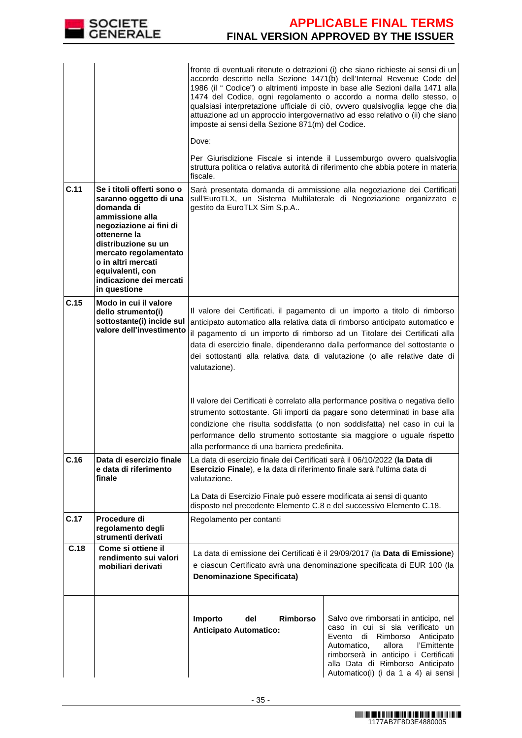

|      |                                                                                                                                                                                                                                                                       | fronte di eventuali ritenute o detrazioni (i) che siano richieste ai sensi di un<br>accordo descritto nella Sezione 1471(b) dell'Internal Revenue Code del<br>1986 (il " Codice") o altrimenti imposte in base alle Sezioni dalla 1471 alla<br>1474 del Codice, ogni regolamento o accordo a norma dello stesso, o<br>qualsiasi interpretazione ufficiale di ciò, ovvero qualsivoglia legge che dia<br>attuazione ad un approccio intergovernativo ad esso relativo o (ii) che siano<br>imposte ai sensi della Sezione 871(m) del Codice.<br>Dove:<br>Per Giurisdizione Fiscale si intende il Lussemburgo ovvero qualsivoglia<br>struttura politica o relativa autorità di riferimento che abbia potere in materia<br>fiscale.                                                                  |                                                                                                                                                                                                                                                                                |
|------|-----------------------------------------------------------------------------------------------------------------------------------------------------------------------------------------------------------------------------------------------------------------------|-------------------------------------------------------------------------------------------------------------------------------------------------------------------------------------------------------------------------------------------------------------------------------------------------------------------------------------------------------------------------------------------------------------------------------------------------------------------------------------------------------------------------------------------------------------------------------------------------------------------------------------------------------------------------------------------------------------------------------------------------------------------------------------------------|--------------------------------------------------------------------------------------------------------------------------------------------------------------------------------------------------------------------------------------------------------------------------------|
| C.11 | Se i titoli offerti sono o<br>saranno oggetto di una<br>domanda di<br>ammissione alla<br>negoziazione ai fini di<br>ottenerne la<br>distribuzione su un<br>mercato regolamentato<br>o in altri mercati<br>equivalenti, con<br>indicazione dei mercati<br>in questione | Sarà presentata domanda di ammissione alla negoziazione dei Certificati<br>sull'EuroTLX, un Sistema Multilaterale di Negoziazione organizzato e<br>gestito da EuroTLX Sim S.p.A                                                                                                                                                                                                                                                                                                                                                                                                                                                                                                                                                                                                                 |                                                                                                                                                                                                                                                                                |
| C.15 | Modo in cui il valore<br>dello strumento(i)<br>sottostante(i) incide sul<br>valore dell'investimento                                                                                                                                                                  | Il valore dei Certificati, il pagamento di un importo a titolo di rimborso<br>anticipato automatico alla relativa data di rimborso anticipato automatico e<br>il pagamento di un importo di rimborso ad un Titolare dei Certificati alla<br>data di esercizio finale, dipenderanno dalla performance del sottostante o<br>dei sottostanti alla relativa data di valutazione (o alle relative date di<br>valutazione).<br>Il valore dei Certificati è correlato alla performance positiva o negativa dello<br>strumento sottostante. Gli importi da pagare sono determinati in base alla<br>condizione che risulta soddisfatta (o non soddisfatta) nel caso in cui la<br>performance dello strumento sottostante sia maggiore o uguale rispetto<br>alla performance di una barriera predefinita. |                                                                                                                                                                                                                                                                                |
| C.16 | Data di esercizio finale<br>e data di riferimento<br>finale                                                                                                                                                                                                           | La data di esercizio finale dei Certificati sarà il 06/10/2022 (la Data di<br>Esercizio Finale), e la data di riferimento finale sarà l'ultima data di<br>valutazione.<br>La Data di Esercizio Finale può essere modificata ai sensi di quanto<br>disposto nel precedente Elemento C.8 e del successivo Elemento C.18.                                                                                                                                                                                                                                                                                                                                                                                                                                                                          |                                                                                                                                                                                                                                                                                |
| C.17 | Procedure di<br>regolamento degli<br>strumenti derivati                                                                                                                                                                                                               | Regolamento per contanti                                                                                                                                                                                                                                                                                                                                                                                                                                                                                                                                                                                                                                                                                                                                                                        |                                                                                                                                                                                                                                                                                |
| C.18 | Come si ottiene il<br>rendimento sui valori<br>mobiliari derivati                                                                                                                                                                                                     | La data di emissione dei Certificati è il 29/09/2017 (la Data di Emissione)<br>e ciascun Certificato avrà una denominazione specificata di EUR 100 (la<br><b>Denominazione Specificata)</b>                                                                                                                                                                                                                                                                                                                                                                                                                                                                                                                                                                                                     |                                                                                                                                                                                                                                                                                |
|      |                                                                                                                                                                                                                                                                       | Importo<br>del<br><b>Rimborso</b><br><b>Anticipato Automatico:</b>                                                                                                                                                                                                                                                                                                                                                                                                                                                                                                                                                                                                                                                                                                                              | Salvo ove rimborsati in anticipo, nel<br>caso in cui si sia verificato un<br>Evento<br>di<br>Rimborso<br>Anticipato<br>l'Emittente<br>Automatico,<br>allora<br>rimborserà in anticipo i Certificati<br>alla Data di Rimborso Anticipato<br>Automatico(i) (i da 1 a 4) ai sensi |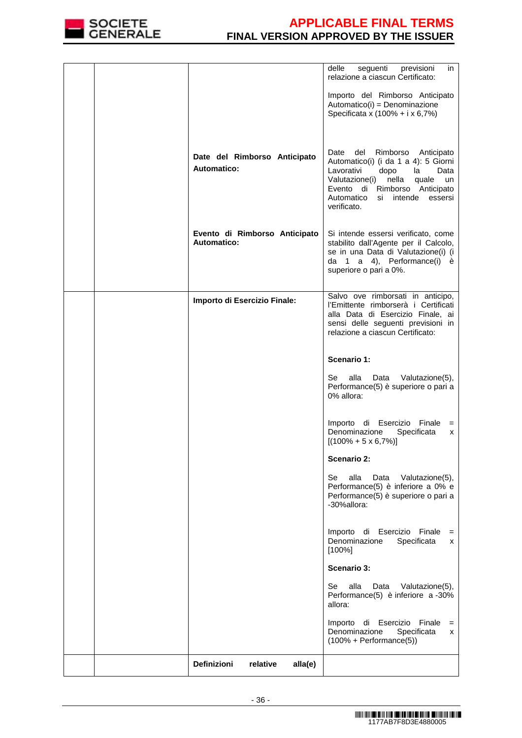

|                                                     | delle<br>seguenti<br>previsioni<br>in<br>relazione a ciascun Certificato:                                                                                                                                                        |
|-----------------------------------------------------|----------------------------------------------------------------------------------------------------------------------------------------------------------------------------------------------------------------------------------|
|                                                     | Importo del Rimborso Anticipato<br>Automatico(i) = Denominazione<br>Specificata x (100% + i x 6,7%)                                                                                                                              |
| Date del Rimborso Anticipato<br>Automatico:         | Date del Rimborso Anticipato<br>Automatico(i) (i da 1 a 4): 5 Giorni<br>dopo la<br>Lavorativi<br>Data<br>Valutazione(i)<br>nella<br>quale<br>un<br>Evento di Rimborso Anticipato<br>Automatico si intende essersi<br>verificato. |
| Evento di Rimborso Anticipato<br><b>Automatico:</b> | Si intende essersi verificato, come<br>stabilito dall'Agente per il Calcolo,<br>se in una Data di Valutazione(i) (i<br>da 1 a 4), Performance(i) è<br>superiore o pari a 0%.                                                     |
| Importo di Esercizio Finale:                        | Salvo ove rimborsati in anticipo,<br>l'Emittente rimborserà i Certificati<br>alla Data di Esercizio Finale, ai<br>sensi delle seguenti previsioni in<br>relazione a ciascun Certificato:                                         |
|                                                     | Scenario 1:                                                                                                                                                                                                                      |
|                                                     | alla<br>Valutazione(5),<br>Se<br>Data<br>Performance(5) è superiore o pari a<br>0% allora:                                                                                                                                       |
|                                                     | Importo di Esercizio Finale =<br>Denominazione<br>Specificata<br>x<br>$[(100\% + 5 \times 6,7\%)]$                                                                                                                               |
|                                                     | <b>Scenario 2:</b>                                                                                                                                                                                                               |
|                                                     | alla<br>Se<br>Data<br>Valutazione(5),<br>Performance(5) è inferiore a 0% e<br>Performance(5) è superiore o pari a<br>-30%allora:                                                                                                 |
|                                                     | di Esercizio Finale<br>Importo<br>$=$<br>Denominazione<br>Specificata<br>x<br>$[100\%]$                                                                                                                                          |
|                                                     | <b>Scenario 3:</b>                                                                                                                                                                                                               |
|                                                     | Se<br>alla<br>Valutazione(5),<br>Data<br>Performance(5) è inferiore a -30%<br>allora:                                                                                                                                            |
|                                                     | Importo di Esercizio Finale<br>$=$<br>Denominazione<br>Specificata<br>x<br>$(100\% + Performance(5))$                                                                                                                            |
| Definizioni<br>relative<br>alla(e)                  |                                                                                                                                                                                                                                  |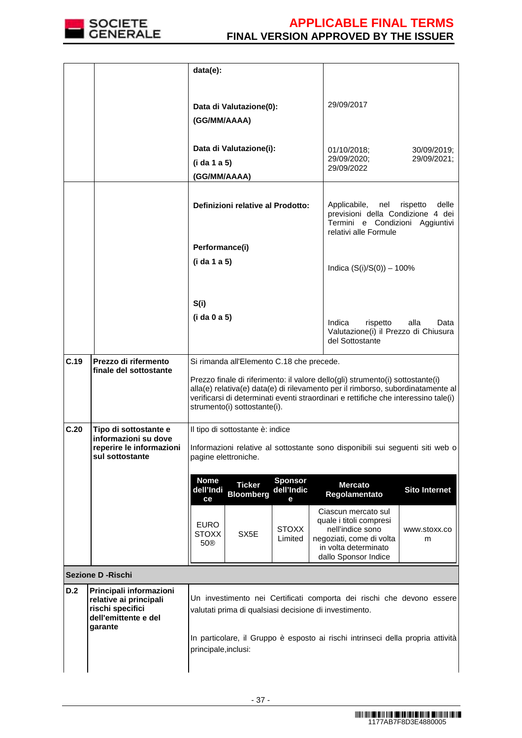

|      |                                                                                                          | data(e):                                                                                                                                                                                                                                           |                                                                                                                                                                     |
|------|----------------------------------------------------------------------------------------------------------|----------------------------------------------------------------------------------------------------------------------------------------------------------------------------------------------------------------------------------------------------|---------------------------------------------------------------------------------------------------------------------------------------------------------------------|
|      |                                                                                                          |                                                                                                                                                                                                                                                    |                                                                                                                                                                     |
|      |                                                                                                          | Data di Valutazione(0):                                                                                                                                                                                                                            | 29/09/2017                                                                                                                                                          |
|      |                                                                                                          | (GG/MM/AAAA)                                                                                                                                                                                                                                       |                                                                                                                                                                     |
|      |                                                                                                          | Data di Valutazione(i):                                                                                                                                                                                                                            | 01/10/2018;<br>30/09/2019;                                                                                                                                          |
|      |                                                                                                          | (i da 1 a 5)                                                                                                                                                                                                                                       | 29/09/2020;<br>29/09/2021;<br>29/09/2022                                                                                                                            |
|      |                                                                                                          | (GG/MM/AAAA)                                                                                                                                                                                                                                       |                                                                                                                                                                     |
|      |                                                                                                          | Definizioni relative al Prodotto:                                                                                                                                                                                                                  | Applicabile,<br>nel<br>rispetto<br>delle<br>previsioni della Condizione 4 dei<br>Termini e Condizioni Aggiuntivi<br>relativi alle Formule                           |
|      |                                                                                                          | Performance(i)                                                                                                                                                                                                                                     |                                                                                                                                                                     |
|      |                                                                                                          | (i da 1 a 5)                                                                                                                                                                                                                                       | Indica $(S(i)/S(0)) - 100\%$                                                                                                                                        |
|      |                                                                                                          | S(i)                                                                                                                                                                                                                                               |                                                                                                                                                                     |
|      |                                                                                                          | (i da 0 a 5)                                                                                                                                                                                                                                       | Indica<br>rispetto<br>alla<br>Data<br>Valutazione(i) il Prezzo di Chiusura<br>del Sottostante                                                                       |
| C.19 | Prezzo di rifermento<br>finale del sottostante                                                           | Si rimanda all'Elemento C.18 che precede.<br>Prezzo finale di riferimento: il valore dello(gli) strumento(i) sottostante(i)<br>verificarsi di determinati eventi straordinari e rettifiche che interessino tale(i)<br>strumento(i) sottostante(i). | alla(e) relativa(e) data(e) di rilevamento per il rimborso, subordinatamente al                                                                                     |
| C.20 | Tipo di sottostante e<br>informazioni su dove<br>reperire le informazioni<br>sul sottostante             | Il tipo di sottostante è: indice<br>pagine elettroniche.                                                                                                                                                                                           | Informazioni relative al sottostante sono disponibili sui sequenti siti web o                                                                                       |
|      |                                                                                                          | <b>Nome</b><br><b>Sponsor</b><br><b>Ticker</b><br>dell'Indic<br>dell'Indi<br><b>Bloomberg</b><br>ce<br>е                                                                                                                                           | <b>Mercato</b><br><b>Sito Internet</b><br>Regolamentato                                                                                                             |
|      |                                                                                                          | <b>EURO</b><br><b>STOXX</b><br><b>STOXX</b><br>SX <sub>5</sub> E<br>Limited<br>50®                                                                                                                                                                 | Ciascun mercato sul<br>quale i titoli compresi<br>nell'indice sono<br>www.stoxx.co<br>negoziati, come di volta<br>m<br>in volta determinato<br>dallo Sponsor Indice |
|      | <b>Sezione D - Rischi</b>                                                                                |                                                                                                                                                                                                                                                    |                                                                                                                                                                     |
| D.2  | Principali informazioni<br>relative ai principali<br>rischi specifici<br>dell'emittente e del<br>garante | valutati prima di qualsiasi decisione di investimento.                                                                                                                                                                                             | Un investimento nei Certificati comporta dei rischi che devono essere                                                                                               |
|      |                                                                                                          | principale, inclusi:                                                                                                                                                                                                                               | In particolare, il Gruppo è esposto ai rischi intrinseci della propria attività                                                                                     |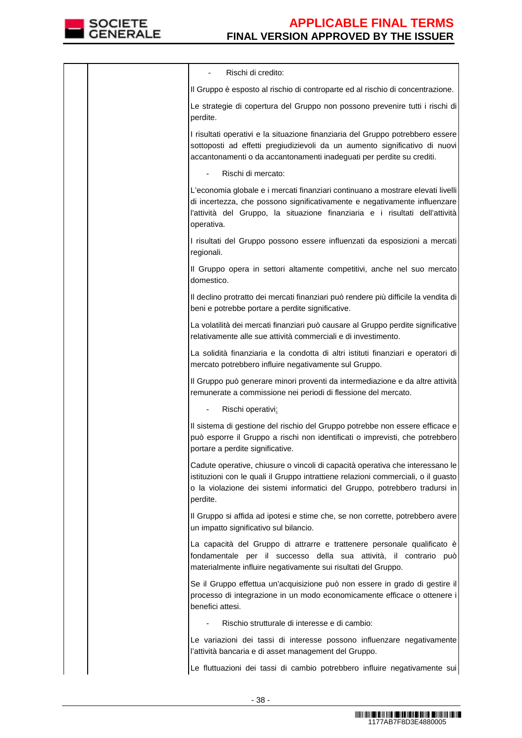

|  | Rischi di credito:                                                                                                                                                                                                                                           |
|--|--------------------------------------------------------------------------------------------------------------------------------------------------------------------------------------------------------------------------------------------------------------|
|  | Il Gruppo è esposto al rischio di controparte ed al rischio di concentrazione.                                                                                                                                                                               |
|  | Le strategie di copertura del Gruppo non possono prevenire tutti i rischi di<br>perdite.                                                                                                                                                                     |
|  | I risultati operativi e la situazione finanziaria del Gruppo potrebbero essere<br>sottoposti ad effetti pregiudizievoli da un aumento significativo di nuovi<br>accantonamenti o da accantonamenti inadeguati per perdite su crediti.                        |
|  | Rischi di mercato:                                                                                                                                                                                                                                           |
|  | L'economia globale e i mercati finanziari continuano a mostrare elevati livelli<br>di incertezza, che possono significativamente e negativamente influenzare<br>l'attività del Gruppo, la situazione finanziaria e i risultati dell'attività<br>operativa.   |
|  | I risultati del Gruppo possono essere influenzati da esposizioni a mercati<br>regionali.                                                                                                                                                                     |
|  | Il Gruppo opera in settori altamente competitivi, anche nel suo mercato<br>domestico.                                                                                                                                                                        |
|  | Il declino protratto dei mercati finanziari può rendere più difficile la vendita di<br>beni e potrebbe portare a perdite significative.                                                                                                                      |
|  | La volatilità dei mercati finanziari può causare al Gruppo perdite significative<br>relativamente alle sue attività commerciali e di investimento.                                                                                                           |
|  | La solidità finanziaria e la condotta di altri istituti finanziari e operatori di<br>mercato potrebbero influire negativamente sul Gruppo.                                                                                                                   |
|  | Il Gruppo può generare minori proventi da intermediazione e da altre attività<br>remunerate a commissione nei periodi di flessione del mercato.                                                                                                              |
|  | Rischi operativi:                                                                                                                                                                                                                                            |
|  | Il sistema di gestione del rischio del Gruppo potrebbe non essere efficace e<br>può esporre il Gruppo a rischi non identificati o imprevisti, che potrebbero<br>portare a perdite significative.                                                             |
|  | Cadute operative, chiusure o vincoli di capacità operativa che interessano le<br>istituzioni con le quali il Gruppo intrattiene relazioni commerciali, o il guasto<br>o la violazione dei sistemi informatici del Gruppo, potrebbero tradursi in<br>perdite. |
|  | Il Gruppo si affida ad ipotesi e stime che, se non corrette, potrebbero avere<br>un impatto significativo sul bilancio.                                                                                                                                      |
|  | La capacità del Gruppo di attrarre e trattenere personale qualificato è<br>fondamentale per il successo della sua attività, il contrario può<br>materialmente influire negativamente sui risultati del Gruppo.                                               |
|  | Se il Gruppo effettua un'acquisizione può non essere in grado di gestire il<br>processo di integrazione in un modo economicamente efficace o ottenere i<br>benefici attesi.                                                                                  |
|  | Rischio strutturale di interesse e di cambio:                                                                                                                                                                                                                |
|  | Le variazioni dei tassi di interesse possono influenzare negativamente<br>l'attività bancaria e di asset management del Gruppo.                                                                                                                              |
|  | Le fluttuazioni dei tassi di cambio potrebbero influire negativamente sui                                                                                                                                                                                    |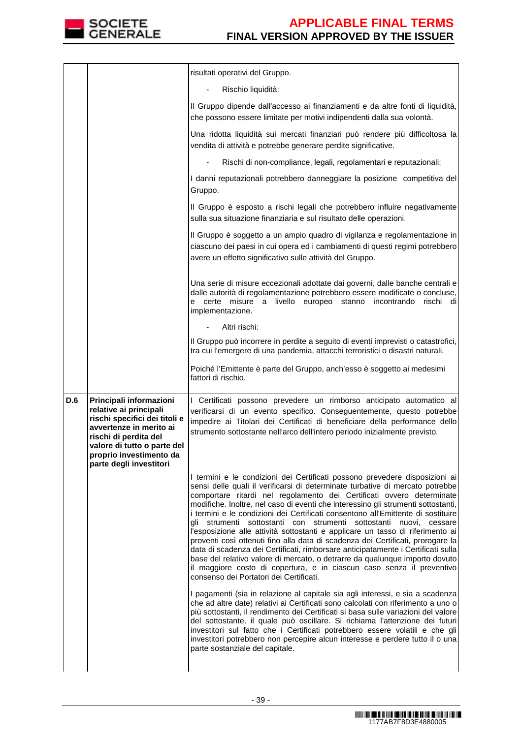

|     |                                                                                                                                                                                                  | risultati operativi del Gruppo.                                                                                                                                                                                                                                                                                                                                                                                                                                                                                                                                                                                                                                                                                                                                                                                                                                                                                                                                                                                                                                                                                                                                                                                                                                                                                                                                                                                                                                                                   |
|-----|--------------------------------------------------------------------------------------------------------------------------------------------------------------------------------------------------|---------------------------------------------------------------------------------------------------------------------------------------------------------------------------------------------------------------------------------------------------------------------------------------------------------------------------------------------------------------------------------------------------------------------------------------------------------------------------------------------------------------------------------------------------------------------------------------------------------------------------------------------------------------------------------------------------------------------------------------------------------------------------------------------------------------------------------------------------------------------------------------------------------------------------------------------------------------------------------------------------------------------------------------------------------------------------------------------------------------------------------------------------------------------------------------------------------------------------------------------------------------------------------------------------------------------------------------------------------------------------------------------------------------------------------------------------------------------------------------------------|
|     |                                                                                                                                                                                                  | Rischio liquidità:                                                                                                                                                                                                                                                                                                                                                                                                                                                                                                                                                                                                                                                                                                                                                                                                                                                                                                                                                                                                                                                                                                                                                                                                                                                                                                                                                                                                                                                                                |
|     |                                                                                                                                                                                                  | Il Gruppo dipende dall'accesso ai finanziamenti e da altre fonti di liquidità,<br>che possono essere limitate per motivi indipendenti dalla sua volontà.                                                                                                                                                                                                                                                                                                                                                                                                                                                                                                                                                                                                                                                                                                                                                                                                                                                                                                                                                                                                                                                                                                                                                                                                                                                                                                                                          |
|     |                                                                                                                                                                                                  | Una ridotta liquidità sui mercati finanziari può rendere più difficoltosa la<br>vendita di attività e potrebbe generare perdite significative.                                                                                                                                                                                                                                                                                                                                                                                                                                                                                                                                                                                                                                                                                                                                                                                                                                                                                                                                                                                                                                                                                                                                                                                                                                                                                                                                                    |
|     |                                                                                                                                                                                                  | Rischi di non-compliance, legali, regolamentari e reputazionali:                                                                                                                                                                                                                                                                                                                                                                                                                                                                                                                                                                                                                                                                                                                                                                                                                                                                                                                                                                                                                                                                                                                                                                                                                                                                                                                                                                                                                                  |
|     |                                                                                                                                                                                                  | I danni reputazionali potrebbero danneggiare la posizione competitiva del<br>Gruppo.                                                                                                                                                                                                                                                                                                                                                                                                                                                                                                                                                                                                                                                                                                                                                                                                                                                                                                                                                                                                                                                                                                                                                                                                                                                                                                                                                                                                              |
|     |                                                                                                                                                                                                  | Il Gruppo è esposto a rischi legali che potrebbero influire negativamente<br>sulla sua situazione finanziaria e sul risultato delle operazioni.                                                                                                                                                                                                                                                                                                                                                                                                                                                                                                                                                                                                                                                                                                                                                                                                                                                                                                                                                                                                                                                                                                                                                                                                                                                                                                                                                   |
|     |                                                                                                                                                                                                  | Il Gruppo è soggetto a un ampio quadro di vigilanza e regolamentazione in<br>ciascuno dei paesi in cui opera ed i cambiamenti di questi regimi potrebbero<br>avere un effetto significativo sulle attività del Gruppo.                                                                                                                                                                                                                                                                                                                                                                                                                                                                                                                                                                                                                                                                                                                                                                                                                                                                                                                                                                                                                                                                                                                                                                                                                                                                            |
|     |                                                                                                                                                                                                  | Una serie di misure eccezionali adottate dai governi, dalle banche centrali e<br>dalle autorità di regolamentazione potrebbero essere modificate o concluse,<br>certe misure a livello europeo stanno incontrando<br>rischi dil<br>implementazione.                                                                                                                                                                                                                                                                                                                                                                                                                                                                                                                                                                                                                                                                                                                                                                                                                                                                                                                                                                                                                                                                                                                                                                                                                                               |
|     |                                                                                                                                                                                                  | Altri rischi:                                                                                                                                                                                                                                                                                                                                                                                                                                                                                                                                                                                                                                                                                                                                                                                                                                                                                                                                                                                                                                                                                                                                                                                                                                                                                                                                                                                                                                                                                     |
|     |                                                                                                                                                                                                  | Il Gruppo può incorrere in perdite a seguito di eventi imprevisti o catastrofici,<br>tra cui l'emergere di una pandemia, attacchi terroristici o disastri naturali.                                                                                                                                                                                                                                                                                                                                                                                                                                                                                                                                                                                                                                                                                                                                                                                                                                                                                                                                                                                                                                                                                                                                                                                                                                                                                                                               |
|     |                                                                                                                                                                                                  | Poiché l'Emittente è parte del Gruppo, anch'esso è soggetto ai medesimi                                                                                                                                                                                                                                                                                                                                                                                                                                                                                                                                                                                                                                                                                                                                                                                                                                                                                                                                                                                                                                                                                                                                                                                                                                                                                                                                                                                                                           |
|     |                                                                                                                                                                                                  | fattori di rischio.                                                                                                                                                                                                                                                                                                                                                                                                                                                                                                                                                                                                                                                                                                                                                                                                                                                                                                                                                                                                                                                                                                                                                                                                                                                                                                                                                                                                                                                                               |
| D.6 | Principali informazioni<br>relative ai principali<br>rischi specifici dei titoli e<br>avvertenze in merito ai<br>rischi di perdita del<br>valore di tutto o parte del<br>proprio investimento da | I Certificati possono prevedere un rimborso anticipato automatico al<br>verificarsi di un evento specifico. Conseguentemente, questo potrebbe<br>impedire ai Titolari dei Certificati di beneficiare della performance dello<br>strumento sottostante nell'arco dell'intero periodo inizialmente previsto.                                                                                                                                                                                                                                                                                                                                                                                                                                                                                                                                                                                                                                                                                                                                                                                                                                                                                                                                                                                                                                                                                                                                                                                        |
|     | parte degli investitori                                                                                                                                                                          | I termini e le condizioni dei Certificati possono prevedere disposizioni ai<br>sensi delle quali il verificarsi di determinate turbative di mercato potrebbe<br>comportare ritardi nel regolamento dei Certificati ovvero determinate<br>modifiche. Inoltre, nel caso di eventi che interessino gli strumenti sottostanti,<br>i termini e le condizioni dei Certificati consentono all'Emittente di sostituire<br>gli strumenti sottostanti con strumenti sottostanti nuovi, cessare<br>l'esposizione alle attività sottostanti e applicare un tasso di riferimento ai<br>proventi così ottenuti fino alla data di scadenza dei Certificati, prorogare la<br>data di scadenza dei Certificati, rimborsare anticipatamente i Certificati sulla<br>base del relativo valore di mercato, o detrarre da qualunque importo dovuto<br>il maggiore costo di copertura, e in ciascun caso senza il preventivo<br>consenso dei Portatori dei Certificati.<br>I pagamenti (sia in relazione al capitale sia agli interessi, e sia a scadenza<br>che ad altre date) relativi ai Certificati sono calcolati con riferimento a uno o<br>più sottostanti, il rendimento dei Certificati si basa sulle variazioni del valore<br>del sottostante, il quale può oscillare. Si richiama l'attenzione dei futuri<br>investitori sul fatto che i Certificati potrebbero essere volatili e che gli<br>investitori potrebbero non percepire alcun interesse e perdere tutto il o una<br>parte sostanziale del capitale. |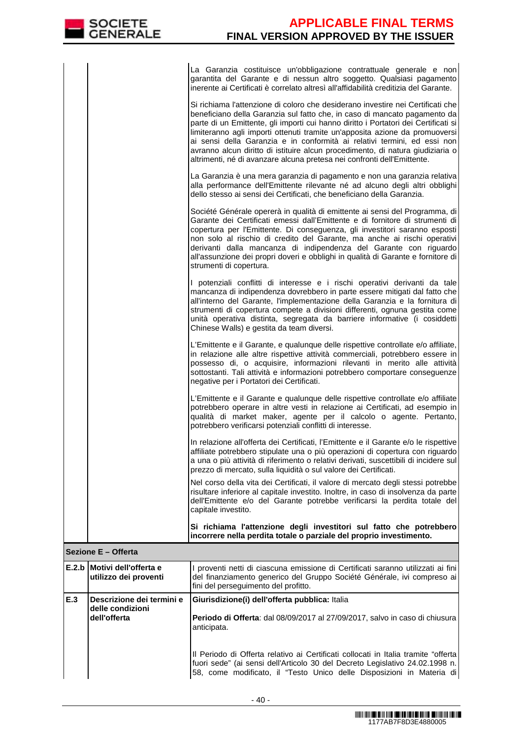|  |  |  | La Garanzia costituisce un'obbligazione contrattuale generale e non                   |  |  |  |
|--|--|--|---------------------------------------------------------------------------------------|--|--|--|
|  |  |  | garantita del Garante e di nessun altro soggetto. Qualsiasi pagamento                 |  |  |  |
|  |  |  | linerente ai Certificati è correlato altresì all'affidabilità creditizia del Garante. |  |  |  |

| E.2.b Motivi dell'offerta e | I proventi netti di ciascuna emissione di Certificati saranno utilizzati ai fini                                                                                                                                                                                                                                                                                                                                                                                                                                                                                            |
|-----------------------------|-----------------------------------------------------------------------------------------------------------------------------------------------------------------------------------------------------------------------------------------------------------------------------------------------------------------------------------------------------------------------------------------------------------------------------------------------------------------------------------------------------------------------------------------------------------------------------|
| Sezione E - Offerta         |                                                                                                                                                                                                                                                                                                                                                                                                                                                                                                                                                                             |
|                             | Si richiama l'attenzione degli investitori sul fatto che potrebbero<br>incorrere nella perdita totale o parziale del proprio investimento.                                                                                                                                                                                                                                                                                                                                                                                                                                  |
|                             | Nel corso della vita dei Certificati, il valore di mercato degli stessi potrebbe<br>risultare inferiore al capitale investito. Inoltre, in caso di insolvenza da parte<br>dell'Emittente e/o del Garante potrebbe verificarsi la perdita totale del<br>capitale investito.                                                                                                                                                                                                                                                                                                  |
|                             | In relazione all'offerta dei Certificati, l'Emittente e il Garante e/o le rispettive<br>affiliate potrebbero stipulate una o più operazioni di copertura con riguardo<br>a una o più attività di riferimento o relativi derivati, suscettibili di incidere sul<br>prezzo di mercato, sulla liquidità o sul valore dei Certificati.                                                                                                                                                                                                                                          |
|                             | L'Emittente e il Garante e qualunque delle rispettive controllate e/o affiliate<br>potrebbero operare in altre vesti in relazione ai Certificati, ad esempio in<br>qualità di market maker, agente per il calcolo o agente. Pertanto,<br>potrebbero verificarsi potenziali conflitti di interesse.                                                                                                                                                                                                                                                                          |
|                             | L'Emittente e il Garante, e qualunque delle rispettive controllate e/o affiliate,<br>in relazione alle altre rispettive attività commerciali, potrebbero essere in<br>possesso di, o acquisire, informazioni rilevanti in merito alle attività<br>sottostanti. Tali attività e informazioni potrebbero comportare conseguenze<br>negative per i Portatori dei Certificati.                                                                                                                                                                                                  |
|                             | I potenziali conflitti di interesse e i rischi operativi derivanti da tale<br>mancanza di indipendenza dovrebbero in parte essere mitigati dal fatto che<br>all'interno del Garante, l'implementazione della Garanzia e la fornitura di<br>strumenti di copertura compete a divisioni differenti, ognuna gestita come<br>unità operativa distinta, segregata da barriere informative (i cosiddetti<br>Chinese Walls) e gestita da team diversi.                                                                                                                             |
|                             | Société Générale opererà in qualità di emittente ai sensi del Programma, di<br>Garante dei Certificati emessi dall'Emittente e di fornitore di strumenti di<br>copertura per l'Emittente. Di conseguenza, gli investitori saranno esposti<br>non solo al rischio di credito del Garante, ma anche ai rischi operativi<br>derivanti dalla mancanza di indipendenza del Garante con riguardo<br>all'assunzione dei propri doveri e obblighi in qualità di Garante e fornitore di<br>strumenti di copertura.                                                                   |
|                             | La Garanzia è una mera garanzia di pagamento e non una garanzia relativa<br>alla performance dell'Emittente rilevante né ad alcuno degli altri obblighi<br>dello stesso ai sensi dei Certificati, che beneficiano della Garanzia.                                                                                                                                                                                                                                                                                                                                           |
|                             | Si richiama l'attenzione di coloro che desiderano investire nei Certificati che<br>beneficiano della Garanzia sul fatto che, in caso di mancato pagamento da<br>parte di un Emittente, gli importi cui hanno diritto i Portatori dei Certificati si<br>limiteranno agli importi ottenuti tramite un'apposita azione da promuoversi<br>ai sensi della Garanzia e in conformità ai relativi termini, ed essi non<br>avranno alcun diritto di istituire alcun procedimento, di natura giudiziaria o<br>altrimenti, né di avanzare alcuna pretesa nei confronti dell'Emittente. |

|     | E.2.b Motivi dell'offerta e<br>utilizzo dei proventi          | I proventi netti di ciascuna emissione di Certificati saranno utilizzati ai fini<br>del finanziamento generico del Gruppo Société Générale, ivi compreso ai<br>fini del perseguimento del profitto.                                         |  |  |  |  |
|-----|---------------------------------------------------------------|---------------------------------------------------------------------------------------------------------------------------------------------------------------------------------------------------------------------------------------------|--|--|--|--|
| E.3 | Descrizione dei termini e<br>delle condizioni<br>dell'offerta | Giurisdizione (i) dell'offerta pubblica: Italia<br>Periodo di Offerta: dal 08/09/2017 al 27/09/2017, salvo in caso di chiusura<br>anticipata.                                                                                               |  |  |  |  |
|     |                                                               | Il Periodo di Offerta relativo ai Certificati collocati in Italia tramite "offerta<br>fuori sede" (ai sensi dell'Articolo 30 del Decreto Legislativo 24.02.1998 n.<br>58, come modificato, il "Testo Unico delle Disposizioni in Materia di |  |  |  |  |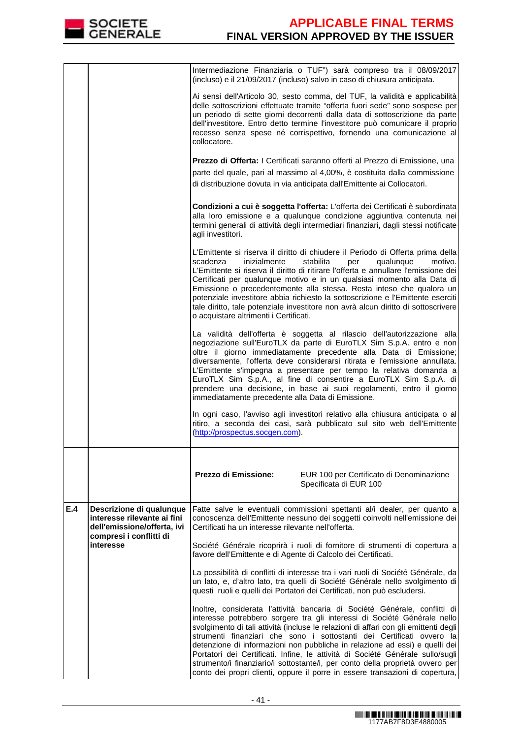

|     |                                                                                                                                | Intermediazione Finanziaria o TUF") sarà compreso tra il 08/09/2017<br>(incluso) e il 21/09/2017 (incluso) salvo in caso di chiusura anticipata.                                                                                                                                                                                                                                                                                                                                                                                                                                                                                                           |
|-----|--------------------------------------------------------------------------------------------------------------------------------|------------------------------------------------------------------------------------------------------------------------------------------------------------------------------------------------------------------------------------------------------------------------------------------------------------------------------------------------------------------------------------------------------------------------------------------------------------------------------------------------------------------------------------------------------------------------------------------------------------------------------------------------------------|
|     |                                                                                                                                | Ai sensi dell'Articolo 30, sesto comma, del TUF, la validità e applicabilità<br>delle sottoscrizioni effettuate tramite "offerta fuori sede" sono sospese per<br>un periodo di sette giorni decorrenti dalla data di sottoscrizione da parte<br>dell'investitore. Entro detto termine l'investitore può comunicare il proprio<br>recesso senza spese né corrispettivo, fornendo una comunicazione al<br>collocatore.                                                                                                                                                                                                                                       |
|     |                                                                                                                                | Prezzo di Offerta: I Certificati saranno offerti al Prezzo di Emissione, una                                                                                                                                                                                                                                                                                                                                                                                                                                                                                                                                                                               |
|     |                                                                                                                                | parte del quale, pari al massimo al 4,00%, è costituita dalla commissione                                                                                                                                                                                                                                                                                                                                                                                                                                                                                                                                                                                  |
|     |                                                                                                                                | di distribuzione dovuta in via anticipata dall'Emittente ai Collocatori.                                                                                                                                                                                                                                                                                                                                                                                                                                                                                                                                                                                   |
|     |                                                                                                                                | Condizioni a cui è soggetta l'offerta: L'offerta dei Certificati è subordinata<br>alla loro emissione e a qualunque condizione aggiuntiva contenuta nei<br>termini generali di attività degli intermediari finanziari, dagli stessi notificate<br>agli investitori.                                                                                                                                                                                                                                                                                                                                                                                        |
|     |                                                                                                                                | L'Emittente si riserva il diritto di chiudere il Periodo di Offerta prima della<br>inizialmente<br>stabilita<br>scadenza<br>per<br>qualunque<br>motivo.<br>L'Emittente si riserva il diritto di ritirare l'offerta e annullare l'emissione dei<br>Certificati per qualunque motivo e in un qualsiasi momento alla Data di<br>Emissione o precedentemente alla stessa. Resta inteso che qualora un<br>potenziale investitore abbia richiesto la sottoscrizione e l'Emittente eserciti<br>tale diritto, tale potenziale investitore non avrà alcun diritto di sottoscrivere<br>o acquistare altrimenti i Certificati.                                        |
|     |                                                                                                                                | La validità dell'offerta è soggetta al rilascio dell'autorizzazione alla<br>negoziazione sull'EuroTLX da parte di EuroTLX Sim S.p.A. entro e non<br>oltre il giorno immediatamente precedente alla Data di Emissione;<br>diversamente, l'offerta deve considerarsi ritirata e l'emissione annullata.<br>L'Emittente s'impegna a presentare per tempo la relativa domanda a<br>EuroTLX Sim S.p.A., al fine di consentire a EuroTLX Sim S.p.A. di<br>prendere una decisione, in base ai suoi regolamenti, entro il giorno<br>immediatamente precedente alla Data di Emissione.                                                                               |
|     |                                                                                                                                | In ogni caso, l'avviso agli investitori relativo alla chiusura anticipata o al<br>ritiro, a seconda dei casi, sarà pubblicato sul sito web dell'Emittente<br>(http://prospectus.socgen.com).                                                                                                                                                                                                                                                                                                                                                                                                                                                               |
|     |                                                                                                                                |                                                                                                                                                                                                                                                                                                                                                                                                                                                                                                                                                                                                                                                            |
|     |                                                                                                                                | Prezzo di Emissione:<br>EUR 100 per Certificato di Denominazione<br>Specificata di EUR 100                                                                                                                                                                                                                                                                                                                                                                                                                                                                                                                                                                 |
| E.4 | Descrizione di qualunque<br>interesse rilevante ai fini<br>dell'emissione/offerta, ivi<br>compresi i conflitti di<br>interesse | Fatte salve le eventuali commissioni spettanti al/i dealer, per quanto a<br>conoscenza dell'Emittente nessuno dei soggetti coinvolti nell'emissione dei<br>Certificati ha un interesse rilevante nell'offerta.                                                                                                                                                                                                                                                                                                                                                                                                                                             |
|     |                                                                                                                                | Société Générale ricoprirà i ruoli di fornitore di strumenti di copertura a<br>favore dell'Emittente e di Agente di Calcolo dei Certificati.                                                                                                                                                                                                                                                                                                                                                                                                                                                                                                               |
|     |                                                                                                                                | La possibilità di conflitti di interesse tra i vari ruoli di Société Générale, da<br>un lato, e, d'altro lato, tra quelli di Société Générale nello svolgimento di<br>questi ruoli e quelli dei Portatori dei Certificati, non può escludersi.                                                                                                                                                                                                                                                                                                                                                                                                             |
|     |                                                                                                                                | Inoltre, considerata l'attività bancaria di Société Générale, conflitti di<br>interesse potrebbero sorgere tra gli interessi di Société Générale nello<br>svolgimento di tali attività (incluse le relazioni di affari con gli emittenti degli<br>strumenti finanziari che sono i sottostanti dei Certificati ovvero la<br>detenzione di informazioni non pubbliche in relazione ad essi) e quelli dei<br>Portatori dei Certificati. Infine, le attività di Société Générale sullo/sugli<br>strumento/i finanziario/i sottostante/i, per conto della proprietà ovvero per<br>conto dei propri clienti, oppure il porre in essere transazioni di copertura, |